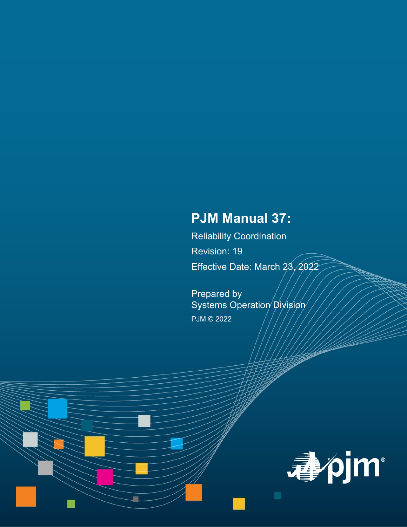# **PJM Manual 37:**

Reliability Coordination Revision: 19 Effective Date: March 23, 2022

Prepared by Systems Operation Division PJM © 2022

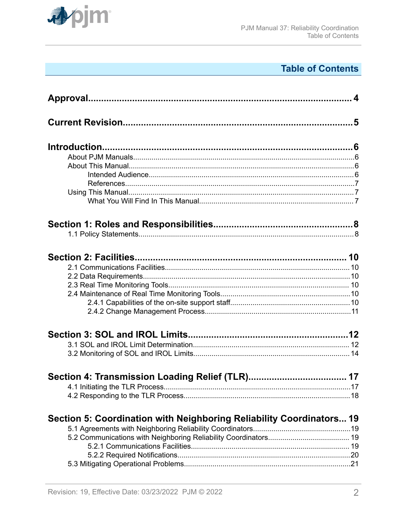

# **Table of Contents**

| Section 5: Coordination with Neighboring Reliability Coordinators 19 |  |
|----------------------------------------------------------------------|--|
|                                                                      |  |
|                                                                      |  |
|                                                                      |  |
|                                                                      |  |
|                                                                      |  |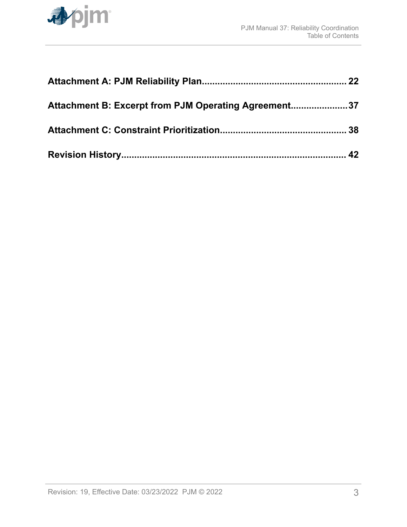

| Attachment B: Excerpt from PJM Operating Agreement37 |  |
|------------------------------------------------------|--|
|                                                      |  |
|                                                      |  |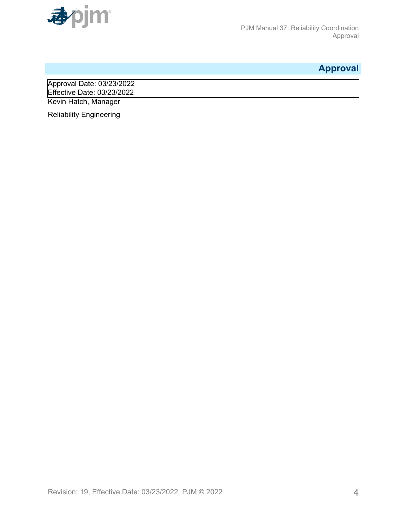<span id="page-3-0"></span>

# **Approval**

Approval Date: 03/23/2022 Effective Date: 03/23/2022 Kevin Hatch, Manager

Reliability Engineering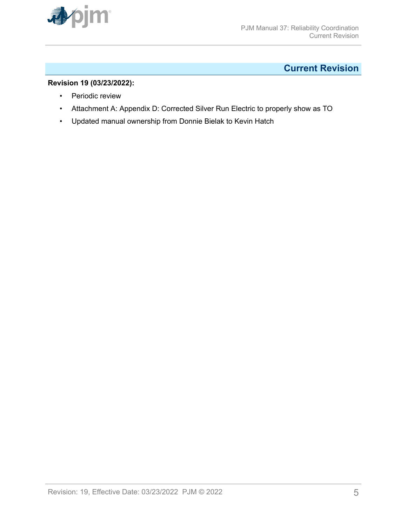<span id="page-4-0"></span>

# **Current Revision**

#### **Revision 19 (03/23/2022):**

- Periodic review
- Attachment A: Appendix D: Corrected Silver Run Electric to properly show as TO
- Updated manual ownership from Donnie Bielak to Kevin Hatch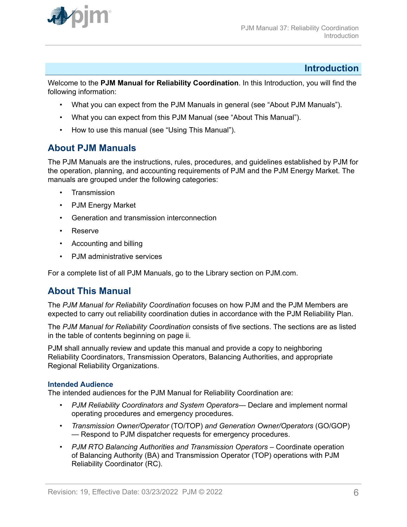<span id="page-5-0"></span>

#### **Introduction**

Welcome to the **PJM Manual for Reliability Coordination**. In this Introduction, you will find the following information:

- What you can expect from the PJM Manuals in general (see "About PJM Manuals").
- What you can expect from this PJM Manual (see "About This Manual").
- How to use this manual (see "Using This Manual").

## **About PJM Manuals**

The PJM Manuals are the instructions, rules, procedures, and guidelines established by PJM for the operation, planning, and accounting requirements of PJM and the PJM Energy Market. The manuals are grouped under the following categories:

- **Transmission**
- PJM Energy Market
- Generation and transmission interconnection
- Reserve
- Accounting and billing
- PJM administrative services

For a complete list of all PJM Manuals, go to the Library section on PJM.com.

### **About This Manual**

The *PJM Manual for Reliability Coordination* focuses on how PJM and the PJM Members are expected to carry out reliability coordination duties in accordance with the PJM Reliability Plan.

The *PJM Manual for Reliability Coordination* consists of five sections. The sections are as listed in the table of contents beginning on page ii.

PJM shall annually review and update this manual and provide a copy to neighboring Reliability Coordinators, Transmission Operators, Balancing Authorities, and appropriate Regional Reliability Organizations.

#### **Intended Audience**

The intended audiences for the PJM Manual for Reliability Coordination are:

- *PJM Reliability Coordinators and System Operators* Declare and implement normal operating procedures and emergency procedures.
- *Transmission Owner/Operator* (TO/TOP) *and Generation Owner/Operators* (GO/GOP) — Respond to PJM dispatcher requests for emergency procedures.
- PJM RTO Balancing Authorities and Transmission Operators Coordinate operation of Balancing Authority (BA) and Transmission Operator (TOP) operations with PJM Reliability Coordinator (RC).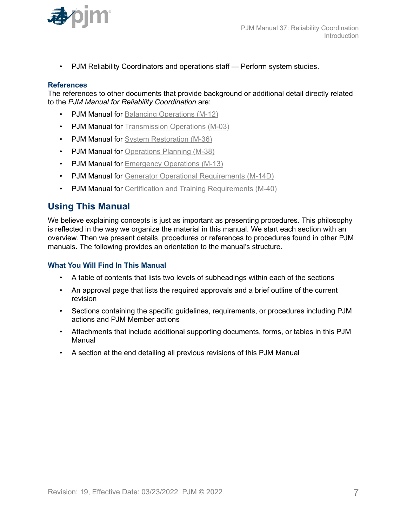<span id="page-6-0"></span>

• PJM Reliability Coordinators and operations staff — Perform system studies.

#### **References**

The references to other documents that provide background or additional detail directly related to the *PJM Manual for Reliability Coordination* are:

- **PJM Manual for [Balancing Operations \(M-12\)](http://www.pjm.com/~/media/documents/manuals/m12.ashx)**
- PJM Manual for [Transmission Operations \(M-03\)](http://www.pjm.com/~/media/documents/manuals/m03.ashx)
- PJM Manual for [System Restoration \(M-36\)](http://www.pjm.com/~/media/documents/manuals/m36.ashx)
- PJM Manual for [Operations Planning \(M-38\)](http://www.pjm.com/~/media/documents/manuals/m38.ashx)
- PJM Manual for [Emergency Operations \(M-13\)](http://www.pjm.com/~/media/documents/manuals/m13.ashx)
- PJM Manual for [Generator Operational Requirements \(M-14D\)](http://www.pjm.com/~/media/documents/manuals/m14d.ashx)
- PJM Manual for [Certification and Training Requirements \(M-40\)](http://www.pjm.com/~/media/documents/manuals/m40.ashx)

# **Using This Manual**

We believe explaining concepts is just as important as presenting procedures. This philosophy is reflected in the way we organize the material in this manual. We start each section with an overview. Then we present details, procedures or references to procedures found in other PJM manuals. The following provides an orientation to the manual's structure.

#### **What You Will Find In This Manual**

- A table of contents that lists two levels of subheadings within each of the sections
- An approval page that lists the required approvals and a brief outline of the current revision
- Sections containing the specific guidelines, requirements, or procedures including PJM actions and PJM Member actions
- Attachments that include additional supporting documents, forms, or tables in this PJM Manual
- A section at the end detailing all previous revisions of this PJM Manual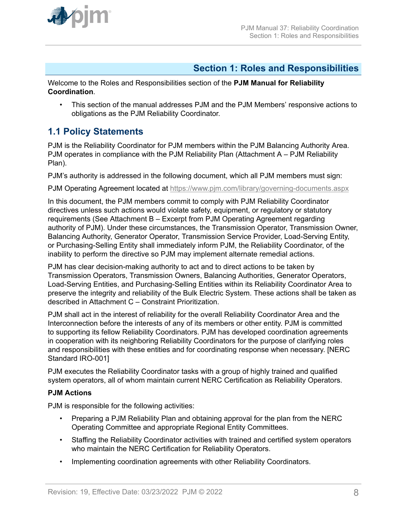<span id="page-7-0"></span>

### **Section 1: Roles and Responsibilities**

Welcome to the Roles and Responsibilities section of the **PJM Manual for Reliability Coordination**.

• This section of the manual addresses PJM and the PJM Members' responsive actions to obligations as the PJM Reliability Coordinator.

# **1.1 Policy Statements**

PJM is the Reliability Coordinator for PJM members within the PJM Balancing Authority Area. PJM operates in compliance with the PJM Reliability Plan (Attachment A – PJM Reliability Plan).

PJM's authority is addressed in the following document, which all PJM members must sign:

PJM Operating Agreement located at<https://www.pjm.com/library/governing-documents.aspx>

In this document, the PJM members commit to comply with PJM Reliability Coordinator directives unless such actions would violate safety, equipment, or regulatory or statutory requirements (See Attachment B – Excerpt from PJM Operating Agreement regarding authority of PJM). Under these circumstances, the Transmission Operator, Transmission Owner, Balancing Authority, Generator Operator, Transmission Service Provider, Load-Serving Entity, or Purchasing-Selling Entity shall immediately inform PJM, the Reliability Coordinator, of the inability to perform the directive so PJM may implement alternate remedial actions.

PJM has clear decision-making authority to act and to direct actions to be taken by Transmission Operators, Transmission Owners, Balancing Authorities, Generator Operators, Load-Serving Entities, and Purchasing-Selling Entities within its Reliability Coordinator Area to preserve the integrity and reliability of the Bulk Electric System. These actions shall be taken as described in Attachment C – Constraint Prioritization.

PJM shall act in the interest of reliability for the overall Reliability Coordinator Area and the Interconnection before the interests of any of its members or other entity. PJM is committed to supporting its fellow Reliability Coordinators. PJM has developed coordination agreements in cooperation with its neighboring Reliability Coordinators for the purpose of clarifying roles and responsibilities with these entities and for coordinating response when necessary. [NERC Standard IRO-001]

PJM executes the Reliability Coordinator tasks with a group of highly trained and qualified system operators, all of whom maintain current NERC Certification as Reliability Operators.

#### **PJM Actions**

PJM is responsible for the following activities:

- Preparing a PJM Reliability Plan and obtaining approval for the plan from the NERC Operating Committee and appropriate Regional Entity Committees.
- Staffing the Reliability Coordinator activities with trained and certified system operators who maintain the NERC Certification for Reliability Operators.
- Implementing coordination agreements with other Reliability Coordinators.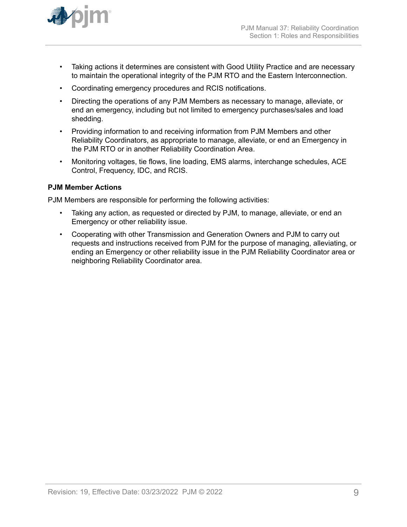

- Taking actions it determines are consistent with Good Utility Practice and are necessary to maintain the operational integrity of the PJM RTO and the Eastern Interconnection.
- Coordinating emergency procedures and RCIS notifications.
- Directing the operations of any PJM Members as necessary to manage, alleviate, or end an emergency, including but not limited to emergency purchases/sales and load shedding.
- Providing information to and receiving information from PJM Members and other Reliability Coordinators, as appropriate to manage, alleviate, or end an Emergency in the PJM RTO or in another Reliability Coordination Area.
- Monitoring voltages, tie flows, line loading, EMS alarms, interchange schedules, ACE Control, Frequency, IDC, and RCIS.

#### **PJM Member Actions**

PJM Members are responsible for performing the following activities:

- Taking any action, as requested or directed by PJM, to manage, alleviate, or end an Emergency or other reliability issue.
- Cooperating with other Transmission and Generation Owners and PJM to carry out requests and instructions received from PJM for the purpose of managing, alleviating, or ending an Emergency or other reliability issue in the PJM Reliability Coordinator area or neighboring Reliability Coordinator area.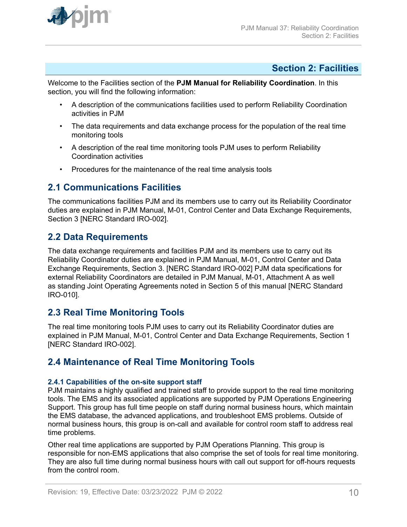<span id="page-9-0"></span>

# **Section 2: Facilities**

Welcome to the Facilities section of the **PJM Manual for Reliability Coordination**. In this section, you will find the following information:

- A description of the communications facilities used to perform Reliability Coordination activities in PJM
- The data requirements and data exchange process for the population of the real time monitoring tools
- A description of the real time monitoring tools PJM uses to perform Reliability Coordination activities
- Procedures for the maintenance of the real time analysis tools

# **2.1 Communications Facilities**

The communications facilities PJM and its members use to carry out its Reliability Coordinator duties are explained in PJM Manual, M-01, Control Center and Data Exchange Requirements, Section 3 [NERC Standard IRO-002].

# **2.2 Data Requirements**

The data exchange requirements and facilities PJM and its members use to carry out its Reliability Coordinator duties are explained in PJM Manual, M-01, Control Center and Data Exchange Requirements, Section 3. [NERC Standard IRO-002] PJM data specifications for external Reliability Coordinators are detailed in PJM Manual, M-01, Attachment A as well as standing Joint Operating Agreements noted in Section 5 of this manual [NERC Standard IRO-010].

# **2.3 Real Time Monitoring Tools**

The real time monitoring tools PJM uses to carry out its Reliability Coordinator duties are explained in PJM Manual, M-01, Control Center and Data Exchange Requirements, Section 1 [NERC Standard IRO-002].

# **2.4 Maintenance of Real Time Monitoring Tools**

#### **2.4.1 Capabilities of the on-site support staff**

PJM maintains a highly qualified and trained staff to provide support to the real time monitoring tools. The EMS and its associated applications are supported by PJM Operations Engineering Support. This group has full time people on staff during normal business hours, which maintain the EMS database, the advanced applications, and troubleshoot EMS problems. Outside of normal business hours, this group is on-call and available for control room staff to address real time problems.

Other real time applications are supported by PJM Operations Planning. This group is responsible for non-EMS applications that also comprise the set of tools for real time monitoring. They are also full time during normal business hours with call out support for off-hours requests from the control room.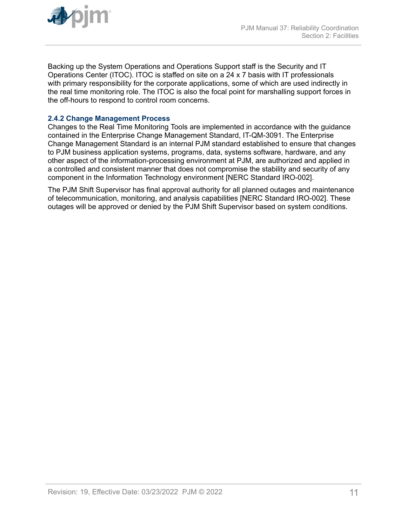<span id="page-10-0"></span>

Backing up the System Operations and Operations Support staff is the Security and IT Operations Center (ITOC). ITOC is staffed on site on a 24 x 7 basis with IT professionals with primary responsibility for the corporate applications, some of which are used indirectly in the real time monitoring role. The ITOC is also the focal point for marshalling support forces in the off-hours to respond to control room concerns.

#### **2.4.2 Change Management Process**

Changes to the Real Time Monitoring Tools are implemented in accordance with the guidance contained in the Enterprise Change Management Standard, IT-QM-3091. The Enterprise Change Management Standard is an internal PJM standard established to ensure that changes to PJM business application systems, programs, data, systems software, hardware, and any other aspect of the information-processing environment at PJM, are authorized and applied in a controlled and consistent manner that does not compromise the stability and security of any component in the Information Technology environment [NERC Standard IRO-002].

The PJM Shift Supervisor has final approval authority for all planned outages and maintenance of telecommunication, monitoring, and analysis capabilities [NERC Standard IRO-002]. These outages will be approved or denied by the PJM Shift Supervisor based on system conditions.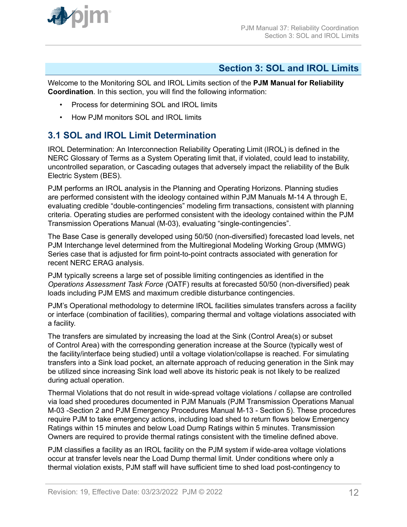<span id="page-11-0"></span>

# **Section 3: SOL and IROL Limits**

Welcome to the Monitoring SOL and IROL Limits section of the **PJM Manual for Reliability Coordination**. In this section, you will find the following information:

- Process for determining SOL and IROL limits
- How PJM monitors SOL and IROL limits

# **3.1 SOL and IROL Limit Determination**

IROL Determination: An Interconnection Reliability Operating Limit (IROL) is defined in the NERC Glossary of Terms as a System Operating limit that, if violated, could lead to instability, uncontrolled separation, or Cascading outages that adversely impact the reliability of the Bulk Electric System (BES).

PJM performs an IROL analysis in the Planning and Operating Horizons. Planning studies are performed consistent with the ideology contained within PJM Manuals M-14 A through E, evaluating credible "double-contingencies" modeling firm transactions, consistent with planning criteria. Operating studies are performed consistent with the ideology contained within the PJM Transmission Operations Manual (M-03), evaluating "single-contingencies".

The Base Case is generally developed using 50/50 (non-diversified) forecasted load levels, net PJM Interchange level determined from the Multiregional Modeling Working Group (MMWG) Series case that is adjusted for firm point-to-point contracts associated with generation for recent NERC ERAG analysis.

PJM typically screens a large set of possible limiting contingencies as identified in the *Operations Assessment Task Force (*OATF) results at forecasted 50/50 (non-diversified) peak loads including PJM EMS and maximum credible disturbance contingencies.

PJM's Operational methodology to determine IROL facilities simulates transfers across a facility or interface (combination of facilities), comparing thermal and voltage violations associated with a facility.

The transfers are simulated by increasing the load at the Sink (Control Area(s) or subset of Control Area) with the corresponding generation increase at the Source (typically west of the facility/interface being studied) until a voltage violation/collapse is reached. For simulating transfers into a Sink load pocket, an alternate approach of reducing generation in the Sink may be utilized since increasing Sink load well above its historic peak is not likely to be realized during actual operation.

Thermal Violations that do not result in wide-spread voltage violations / collapse are controlled via load shed procedures documented in PJM Manuals (PJM Transmission Operations Manual M-03 -Section 2 and PJM Emergency Procedures Manual M-13 - Section 5). These procedures require PJM to take emergency actions, including load shed to return flows below Emergency Ratings within 15 minutes and below Load Dump Ratings within 5 minutes. Transmission Owners are required to provide thermal ratings consistent with the timeline defined above.

PJM classifies a facility as an IROL facility on the PJM system if wide-area voltage violations occur at transfer levels near the Load Dump thermal limit. Under conditions where only a thermal violation exists, PJM staff will have sufficient time to shed load post-contingency to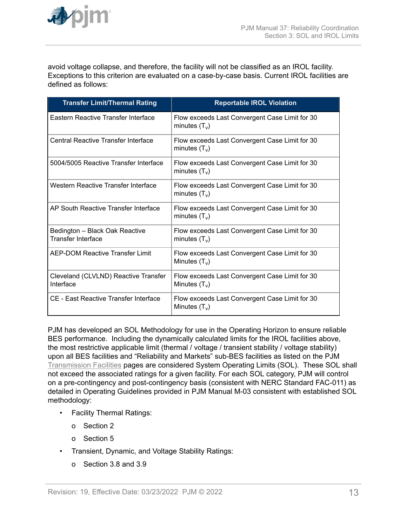

avoid voltage collapse, and therefore, the facility will not be classified as an IROL facility. Exceptions to this criterion are evaluated on a case-by-case basis. Current IROL facilities are defined as follows:

| <b>Transfer Limit/Thermal Rating</b>                        | <b>Reportable IROL Violation</b>                                  |
|-------------------------------------------------------------|-------------------------------------------------------------------|
| Eastern Reactive Transfer Interface                         | Flow exceeds Last Convergent Case Limit for 30<br>minutes $(T_v)$ |
| Central Reactive Transfer Interface                         | Flow exceeds Last Convergent Case Limit for 30<br>minutes $(T_v)$ |
| 5004/5005 Reactive Transfer Interface                       | Flow exceeds Last Convergent Case Limit for 30<br>minutes $(T_v)$ |
| Western Reactive Transfer Interface                         | Flow exceeds Last Convergent Case Limit for 30<br>minutes $(T_v)$ |
| AP South Reactive Transfer Interface                        | Flow exceeds Last Convergent Case Limit for 30<br>minutes $(T_v)$ |
| Bedington - Black Oak Reactive<br><b>Transfer Interface</b> | Flow exceeds Last Convergent Case Limit for 30<br>minutes $(T_v)$ |
| AEP-DOM Reactive Transfer Limit                             | Flow exceeds Last Convergent Case Limit for 30<br>Minutes $(T_v)$ |
| Cleveland (CLVLND) Reactive Transfer<br>Interface           | Flow exceeds Last Convergent Case Limit for 30<br>Minutes $(T_v)$ |
| CE - East Reactive Transfer Interface                       | Flow exceeds Last Convergent Case Limit for 30<br>Minutes $(T_v)$ |

PJM has developed an SOL Methodology for use in the Operating Horizon to ensure reliable BES performance. Including the dynamically calculated limits for the IROL facilities above, the most restrictive applicable limit (thermal / voltage / transient stability / voltage stability) upon all BES facilities and "Reliability and Markets" sub-BES facilities as listed on the PJM [Transmission Facilities](https://www.pjm.com/markets-and-operations/ops-analysis/transmission-facilities.aspx) pages are considered System Operating Limits (SOL). These SOL shall not exceed the associated ratings for a given facility. For each SOL category, PJM will control on a pre-contingency and post-contingency basis (consistent with NERC Standard FAC-011) as detailed in Operating Guidelines provided in PJM Manual M-03 consistent with established SOL methodology:

- Facility Thermal Ratings:
	- o Section 2
	- o Section 5
- Transient, Dynamic, and Voltage Stability Ratings:
	- o Section 3.8 and 3.9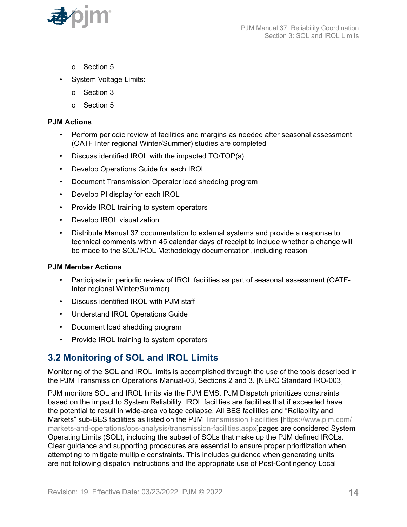<span id="page-13-0"></span>

- o Section 5
- System Voltage Limits:
	- o Section 3
	- o Section 5

#### **PJM Actions**

- Perform periodic review of facilities and margins as needed after seasonal assessment (OATF Inter regional Winter/Summer) studies are completed
- Discuss identified IROL with the impacted TO/TOP(s)
- Develop Operations Guide for each IROL
- Document Transmission Operator load shedding program
- Develop PI display for each IROL
- Provide IROL training to system operators
- Develop IROL visualization
- Distribute Manual 37 documentation to external systems and provide a response to technical comments within 45 calendar days of receipt to include whether a change will be made to the SOL/IROL Methodology documentation, including reason

#### **PJM Member Actions**

- Participate in periodic review of IROL facilities as part of seasonal assessment (OATF-Inter regional Winter/Summer)
- Discuss identified IROL with PJM staff
- Understand IROL Operations Guide
- Document load shedding program
- Provide IROL training to system operators

# **3.2 Monitoring of SOL and IROL Limits**

Monitoring of the SOL and IROL limits is accomplished through the use of the tools described in the PJM Transmission Operations Manual-03, Sections 2 and 3. [NERC Standard IRO-003]

PJM monitors SOL and IROL limits via the PJM EMS. PJM Dispatch prioritizes constraints based on the impact to System Reliability. IROL facilities are facilities that if exceeded have the potential to result in wide-area voltage collapse. All BES facilities and "Reliability and Markets" sub-BES facilities as listed on the PJM [Transmission Facilities](http://www.pjm.com/markets-and-operations/ops-analysis/transmission-facilities.aspx) [[https://www.pjm.com/](https://www.pjm.com/markets-and-operations/ops-analysis/transmission-facilities.aspx) [markets-and-operations/ops-analysis/transmission-facilities.aspx](https://www.pjm.com/markets-and-operations/ops-analysis/transmission-facilities.aspx)]pages are considered System Operating Limits (SOL), including the subset of SOLs that make up the PJM defined IROLs. Clear guidance and supporting procedures are essential to ensure proper prioritization when attempting to mitigate multiple constraints. This includes guidance when generating units are not following dispatch instructions and the appropriate use of Post-Contingency Local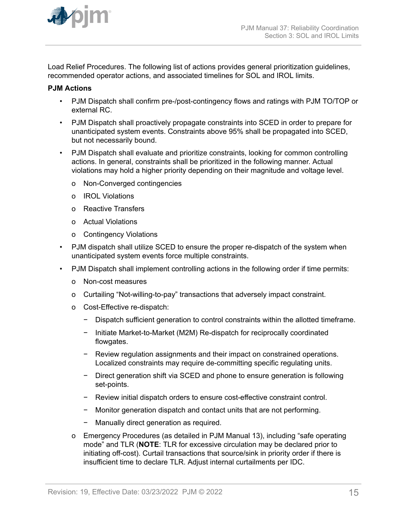

Load Relief Procedures. The following list of actions provides general prioritization guidelines, recommended operator actions, and associated timelines for SOL and IROL limits.

#### **PJM Actions**

- PJM Dispatch shall confirm pre-/post-contingency flows and ratings with PJM TO/TOP or external RC.
- PJM Dispatch shall proactively propagate constraints into SCED in order to prepare for unanticipated system events. Constraints above 95% shall be propagated into SCED, but not necessarily bound.
- PJM Dispatch shall evaluate and prioritize constraints, looking for common controlling actions. In general, constraints shall be prioritized in the following manner. Actual violations may hold a higher priority depending on their magnitude and voltage level.
	- o Non-Converged contingencies
	- o IROL Violations
	- o Reactive Transfers
	- o Actual Violations
	- o Contingency Violations
- PJM dispatch shall utilize SCED to ensure the proper re-dispatch of the system when unanticipated system events force multiple constraints.
- PJM Dispatch shall implement controlling actions in the following order if time permits:
	- o Non-cost measures
	- o Curtailing "Not-willing-to-pay" transactions that adversely impact constraint.
	- o Cost-Effective re-dispatch:
		- − Dispatch sufficient generation to control constraints within the allotted timeframe.
		- − Initiate Market-to-Market (M2M) Re-dispatch for reciprocally coordinated flowgates.
		- − Review regulation assignments and their impact on constrained operations. Localized constraints may require de-committing specific regulating units.
		- − Direct generation shift via SCED and phone to ensure generation is following set-points.
		- − Review initial dispatch orders to ensure cost-effective constraint control.
		- − Monitor generation dispatch and contact units that are not performing.
		- − Manually direct generation as required.
	- o Emergency Procedures (as detailed in PJM Manual 13), including "safe operating mode" and TLR (**NOTE**: TLR for excessive circulation may be declared prior to initiating off-cost). Curtail transactions that source/sink in priority order if there is insufficient time to declare TLR. Adjust internal curtailments per IDC.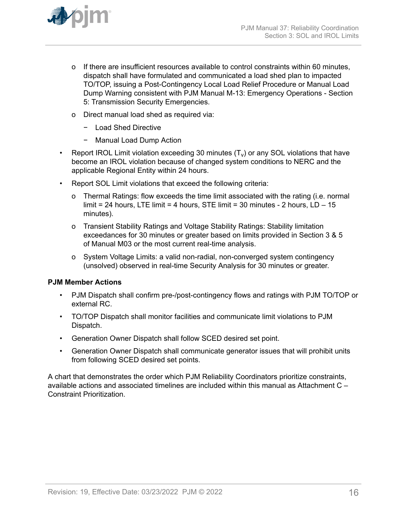

- o If there are insufficient resources available to control constraints within 60 minutes, dispatch shall have formulated and communicated a load shed plan to impacted TO/TOP, issuing a Post-Contingency Local Load Relief Procedure or Manual Load Dump Warning consistent with PJM Manual M-13: Emergency Operations - Section 5: Transmission Security Emergencies.
- o Direct manual load shed as required via:
	- − Load Shed Directive
	- − Manual Load Dump Action
- Report IROL Limit violation exceeding 30 minutes (T<sub>v</sub>) or any SOL violations that have become an IROL violation because of changed system conditions to NERC and the applicable Regional Entity within 24 hours.
- Report SOL Limit violations that exceed the following criteria:
	- o Thermal Ratings: flow exceeds the time limit associated with the rating (i.e. normal limit = 24 hours, LTE limit = 4 hours, STE limit = 30 minutes - 2 hours,  $LD - 15$ minutes).
	- o Transient Stability Ratings and Voltage Stability Ratings: Stability limitation exceedances for 30 minutes or greater based on limits provided in Section 3 & 5 of Manual M03 or the most current real-time analysis.
	- o System Voltage Limits: a valid non-radial, non-converged system contingency (unsolved) observed in real-time Security Analysis for 30 minutes or greater.

#### **PJM Member Actions**

- PJM Dispatch shall confirm pre-/post-contingency flows and ratings with PJM TO/TOP or external RC.
- TO/TOP Dispatch shall monitor facilities and communicate limit violations to PJM Dispatch.
- Generation Owner Dispatch shall follow SCED desired set point.
- Generation Owner Dispatch shall communicate generator issues that will prohibit units from following SCED desired set points.

A chart that demonstrates the order which PJM Reliability Coordinators prioritize constraints, available actions and associated timelines are included within this manual as Attachment C – Constraint Prioritization.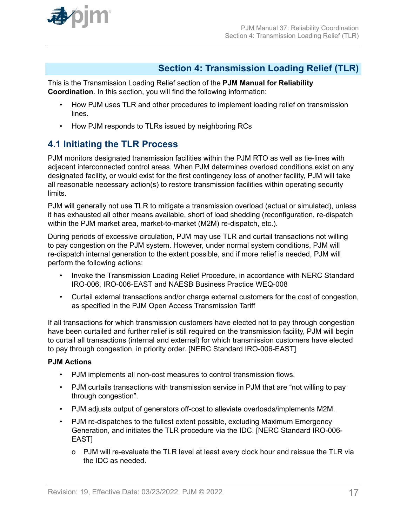<span id="page-16-0"></span>

# **Section 4: Transmission Loading Relief (TLR)**

This is the Transmission Loading Relief section of the **PJM Manual for Reliability Coordination**. In this section, you will find the following information:

- How PJM uses TLR and other procedures to implement loading relief on transmission lines.
- How PJM responds to TLRs issued by neighboring RCs

# **4.1 Initiating the TLR Process**

PJM monitors designated transmission facilities within the PJM RTO as well as tie-lines with adjacent interconnected control areas. When PJM determines overload conditions exist on any designated facility, or would exist for the first contingency loss of another facility, PJM will take all reasonable necessary action(s) to restore transmission facilities within operating security limits.

PJM will generally not use TLR to mitigate a transmission overload (actual or simulated), unless it has exhausted all other means available, short of load shedding (reconfiguration, re-dispatch within the PJM market area, market-to-market (M2M) re-dispatch, etc.).

During periods of excessive circulation, PJM may use TLR and curtail transactions not willing to pay congestion on the PJM system. However, under normal system conditions, PJM will re-dispatch internal generation to the extent possible, and if more relief is needed, PJM will perform the following actions:

- Invoke the Transmission Loading Relief Procedure, in accordance with NERC Standard IRO-006, IRO-006-EAST and NAESB Business Practice WEQ-008
- Curtail external transactions and/or charge external customers for the cost of congestion, as specified in the PJM Open Access Transmission Tariff

If all transactions for which transmission customers have elected not to pay through congestion have been curtailed and further relief is still required on the transmission facility, PJM will begin to curtail all transactions (internal and external) for which transmission customers have elected to pay through congestion, in priority order. [NERC Standard IRO-006-EAST]

#### **PJM Actions**

- PJM implements all non-cost measures to control transmission flows.
- PJM curtails transactions with transmission service in PJM that are "not willing to pay through congestion".
- PJM adjusts output of generators off-cost to alleviate overloads/implements M2M.
- PJM re-dispatches to the fullest extent possible, excluding Maximum Emergency Generation, and initiates the TLR procedure via the IDC. [NERC Standard IRO-006- EAST]
	- o PJM will re-evaluate the TLR level at least every clock hour and reissue the TLR via the IDC as needed.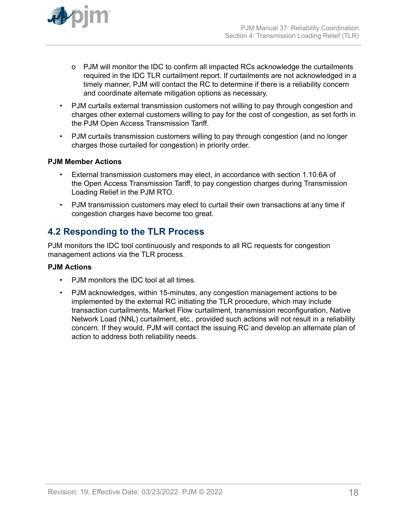<span id="page-17-0"></span>

- o PJM will monitor the IDC to confirm all impacted RCs acknowledge the curtailments required in the IDC TLR curtailment report. If curtailments are not acknowledged in a timely manner, PJM will contact the RC to determine if there is a reliability concern and coordinate alternate mitigation options as necessary.
- PJM curtails external transmission customers not willing to pay through congestion and charges other external customers willing to pay for the cost of congestion, as set forth in the PJM Open Access Transmission Tariff.
- PJM curtails transmission customers willing to pay through congestion (and no longer charges those curtailed for congestion) in priority order.

#### **PJM Member Actions**

- External transmission customers may elect, in accordance with section 1.10.6A of the Open Access Transmission Tariff, to pay congestion charges during Transmission Loading Relief in the PJM RTO.
- PJM transmission customers may elect to curtail their own transactions at any time if congestion charges have become too great.

# **4.2 Responding to the TLR Process**

PJM monitors the IDC tool continuously and responds to all RC requests for congestion management actions via the TLR process.

#### **PJM Actions**

- PJM monitors the IDC tool at all times.
- PJM acknowledges, within 15-minutes, any congestion management actions to be implemented by the external RC initiating the TLR procedure, which may include transaction curtailments, Market Flow curtailment, transmission reconfiguration, Native Network Load (NNL) curtailment, etc., provided such actions will not result in a reliability concern. If they would, PJM will contact the issuing RC and develop an alternate plan of action to address both reliability needs.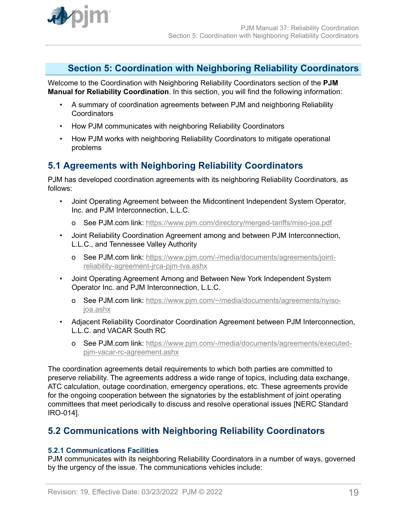<span id="page-18-0"></span>

# **Section 5: Coordination with Neighboring Reliability Coordinators**

Welcome to the Coordination with Neighboring Reliability Coordinators section of the **PJM Manual for Reliability Coordination**. In this section, you will find the following information:

- A summary of coordination agreements between PJM and neighboring Reliability Coordinators
- How PJM communicates with neighboring Reliability Coordinators
- How PJM works with neighboring Reliability Coordinators to mitigate operational problems

# **5.1 Agreements with Neighboring Reliability Coordinators**

PJM has developed coordination agreements with its neighboring Reliability Coordinators, as follows:

- Joint Operating Agreement between the Midcontinent Independent System Operator, Inc. and PJM Interconnection, L.L.C.
	- o See PJM.com link: <https://www.pjm.com/directory/merged-tariffs/miso-joa.pdf>
- Joint Reliability Coordination Agreement among and between PJM Interconnection, L.L.C., and Tennessee Valley Authority
	- o See PJM.com link: [https://www.pjm.com/-/media/documents/agreements/joint](https://www.pjm.com/-/media/documents/agreements/joint-reliability-agreement-jrca-pjm-tva.ashx)[reliability-agreement-jrca-pjm-tva.ashx](https://www.pjm.com/-/media/documents/agreements/joint-reliability-agreement-jrca-pjm-tva.ashx)
- Joint Operating Agreement Among and Between New York Independent System Operator Inc. and PJM Interconnection, L.L.C.
	- o See PJM.com link: [https://www.pjm.com/~/media/documents/agreements/nyiso](https://www.pjm.com/~/media/documents/agreements/nyiso-joa.ashx)[joa.ashx](https://www.pjm.com/~/media/documents/agreements/nyiso-joa.ashx)
- Adjacent Reliability Coordinator Coordination Agreement between PJM Interconnection, L.L.C. and VACAR South RC
	- o See PJM.com link: [https://www.pjm.com/-/media/documents/agreements/executed](https://www.pjm.com/-/media/documents/agreements/executed-pjm-vacar-rc-agreement.ashx)[pjm-vacar-rc-agreement.ashx](https://www.pjm.com/-/media/documents/agreements/executed-pjm-vacar-rc-agreement.ashx)

The coordination agreements detail requirements to which both parties are committed to preserve reliability. The agreements address a wide range of topics, including data exchange, ATC calculation, outage coordination, emergency operations, etc. These agreements provide for the ongoing cooperation between the signatories by the establishment of joint operating committees that meet periodically to discuss and resolve operational issues [NERC Standard IRO-014].

# **5.2 Communications with Neighboring Reliability Coordinators**

#### **5.2.1 Communications Facilities**

PJM communicates with its neighboring Reliability Coordinators in a number of ways, governed by the urgency of the issue. The communications vehicles include: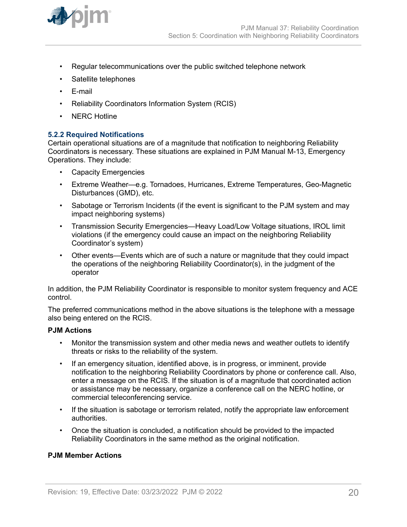<span id="page-19-0"></span>

- Regular telecommunications over the public switched telephone network
- Satellite telephones
- E-mail
- Reliability Coordinators Information System (RCIS)
- NERC Hotline

#### **5.2.2 Required Notifications**

Certain operational situations are of a magnitude that notification to neighboring Reliability Coordinators is necessary. These situations are explained in PJM Manual M-13, Emergency Operations. They include:

- Capacity Emergencies
- Extreme Weather—e.g. Tornadoes, Hurricanes, Extreme Temperatures, Geo-Magnetic Disturbances (GMD), etc.
- Sabotage or Terrorism Incidents (if the event is significant to the PJM system and may impact neighboring systems)
- Transmission Security Emergencies—Heavy Load/Low Voltage situations, IROL limit violations (if the emergency could cause an impact on the neighboring Reliability Coordinator's system)
- Other events—Events which are of such a nature or magnitude that they could impact the operations of the neighboring Reliability Coordinator(s), in the judgment of the operator

In addition, the PJM Reliability Coordinator is responsible to monitor system frequency and ACE control.

The preferred communications method in the above situations is the telephone with a message also being entered on the RCIS.

#### **PJM Actions**

- Monitor the transmission system and other media news and weather outlets to identify threats or risks to the reliability of the system.
- If an emergency situation, identified above, is in progress, or imminent, provide notification to the neighboring Reliability Coordinators by phone or conference call. Also, enter a message on the RCIS. If the situation is of a magnitude that coordinated action or assistance may be necessary, organize a conference call on the NERC hotline, or commercial teleconferencing service.
- If the situation is sabotage or terrorism related, notify the appropriate law enforcement authorities.
- Once the situation is concluded, a notification should be provided to the impacted Reliability Coordinators in the same method as the original notification.

#### **PJM Member Actions**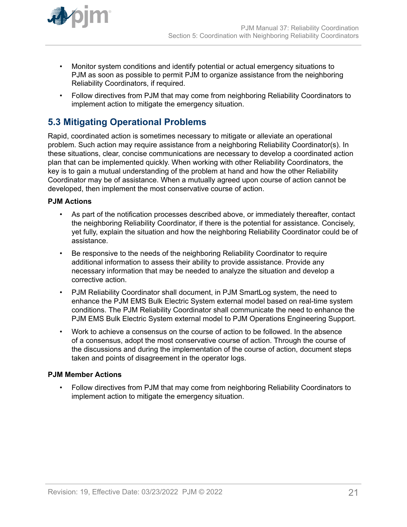<span id="page-20-0"></span>

- Monitor system conditions and identify potential or actual emergency situations to PJM as soon as possible to permit PJM to organize assistance from the neighboring Reliability Coordinators, if required.
- Follow directives from PJM that may come from neighboring Reliability Coordinators to implement action to mitigate the emergency situation.

# **5.3 Mitigating Operational Problems**

Rapid, coordinated action is sometimes necessary to mitigate or alleviate an operational problem. Such action may require assistance from a neighboring Reliability Coordinator(s). In these situations, clear, concise communications are necessary to develop a coordinated action plan that can be implemented quickly. When working with other Reliability Coordinators, the key is to gain a mutual understanding of the problem at hand and how the other Reliability Coordinator may be of assistance. When a mutually agreed upon course of action cannot be developed, then implement the most conservative course of action.

#### **PJM Actions**

- As part of the notification processes described above, or immediately thereafter, contact the neighboring Reliability Coordinator, if there is the potential for assistance. Concisely, yet fully, explain the situation and how the neighboring Reliability Coordinator could be of assistance.
- Be responsive to the needs of the neighboring Reliability Coordinator to require additional information to assess their ability to provide assistance. Provide any necessary information that may be needed to analyze the situation and develop a corrective action.
- PJM Reliability Coordinator shall document, in PJM SmartLog system, the need to enhance the PJM EMS Bulk Electric System external model based on real-time system conditions. The PJM Reliability Coordinator shall communicate the need to enhance the PJM EMS Bulk Electric System external model to PJM Operations Engineering Support.
- Work to achieve a consensus on the course of action to be followed. In the absence of a consensus, adopt the most conservative course of action. Through the course of the discussions and during the implementation of the course of action, document steps taken and points of disagreement in the operator logs.

#### **PJM Member Actions**

• Follow directives from PJM that may come from neighboring Reliability Coordinators to implement action to mitigate the emergency situation.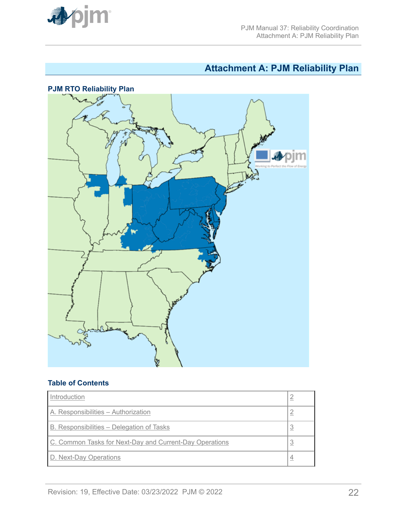<span id="page-21-0"></span>

# **Attachment A: PJM Reliability Plan**



#### **Table of Contents**

| Introduction                                            |  |
|---------------------------------------------------------|--|
| A. Responsibilities - Authorization                     |  |
| B. Responsibilities – Delegation of Tasks               |  |
| C. Common Tasks for Next-Day and Current-Day Operations |  |
| D. Next-Day Operations                                  |  |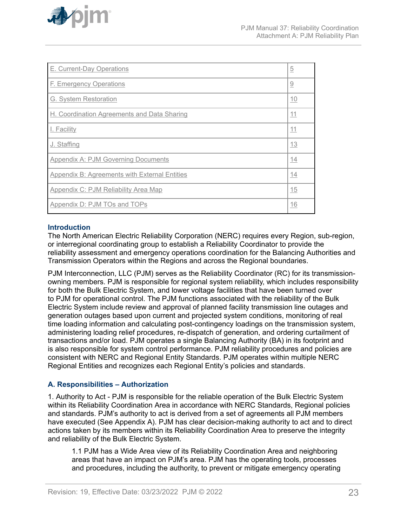<span id="page-22-0"></span>

| $\overline{5}$<br>E. Current-Day Operations<br>F. Emergency Operations<br>$\overline{9}$<br>G. System Restoration<br>10<br>11<br>H. Coordination Agreements and Data Sharing<br>11<br>I. Facility<br>J. Staffing<br>13<br>Appendix A: PJM Governing Documents<br>14<br>Appendix B: Agreements with External Entities<br>14<br>Appendix C: PJM Reliability Area Map<br>15<br>Appendix D: PJM TOs and TOPs<br>16 |  |
|----------------------------------------------------------------------------------------------------------------------------------------------------------------------------------------------------------------------------------------------------------------------------------------------------------------------------------------------------------------------------------------------------------------|--|
|                                                                                                                                                                                                                                                                                                                                                                                                                |  |
|                                                                                                                                                                                                                                                                                                                                                                                                                |  |
|                                                                                                                                                                                                                                                                                                                                                                                                                |  |
|                                                                                                                                                                                                                                                                                                                                                                                                                |  |
|                                                                                                                                                                                                                                                                                                                                                                                                                |  |
|                                                                                                                                                                                                                                                                                                                                                                                                                |  |
|                                                                                                                                                                                                                                                                                                                                                                                                                |  |
|                                                                                                                                                                                                                                                                                                                                                                                                                |  |
|                                                                                                                                                                                                                                                                                                                                                                                                                |  |
|                                                                                                                                                                                                                                                                                                                                                                                                                |  |

#### **Introduction**

The North American Electric Reliability Corporation (NERC) requires every Region, sub-region, or interregional coordinating group to establish a Reliability Coordinator to provide the reliability assessment and emergency operations coordination for the Balancing Authorities and Transmission Operators within the Regions and across the Regional boundaries.

PJM Interconnection, LLC (PJM) serves as the Reliability Coordinator (RC) for its transmissionowning members. PJM is responsible for regional system reliability, which includes responsibility for both the Bulk Electric System, and lower voltage facilities that have been turned over to PJM for operational control. The PJM functions associated with the reliability of the Bulk Electric System include review and approval of planned facility transmission line outages and generation outages based upon current and projected system conditions, monitoring of real time loading information and calculating post-contingency loadings on the transmission system, administering loading relief procedures, re-dispatch of generation, and ordering curtailment of transactions and/or load. PJM operates a single Balancing Authority (BA) in its footprint and is also responsible for system control performance. PJM reliability procedures and policies are consistent with NERC and Regional Entity Standards. PJM operates within multiple NERC Regional Entities and recognizes each Regional Entity's policies and standards.

#### **A. Responsibilities – Authorization**

1. Authority to Act - PJM is responsible for the reliable operation of the Bulk Electric System within its Reliability Coordination Area in accordance with NERC Standards, Regional policies and standards. PJM's authority to act is derived from a set of agreements all PJM members have executed (See Appendix A). PJM has clear decision-making authority to act and to direct actions taken by its members within its Reliability Coordination Area to preserve the integrity and reliability of the Bulk Electric System.

1.1 PJM has a Wide Area view of its Reliability Coordination Area and neighboring areas that have an impact on PJM's area. PJM has the operating tools, processes and procedures, including the authority, to prevent or mitigate emergency operating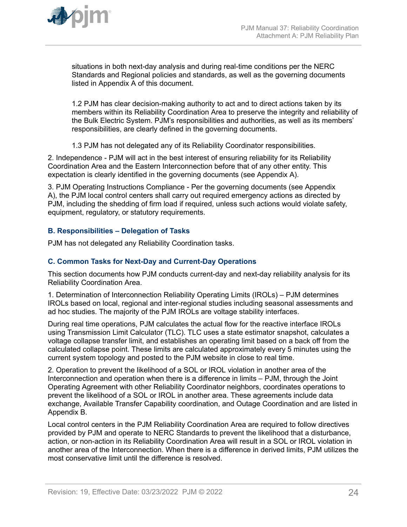<span id="page-23-0"></span>

situations in both next-day analysis and during real-time conditions per the NERC Standards and Regional policies and standards, as well as the governing documents listed in Appendix A of this document.

1.2 PJM has clear decision-making authority to act and to direct actions taken by its members within its Reliability Coordination Area to preserve the integrity and reliability of the Bulk Electric System. PJM's responsibilities and authorities, as well as its members' responsibilities, are clearly defined in the governing documents.

1.3 PJM has not delegated any of its Reliability Coordinator responsibilities.

2. Independence - PJM will act in the best interest of ensuring reliability for its Reliability Coordination Area and the Eastern Interconnection before that of any other entity. This expectation is clearly identified in the governing documents (see Appendix A).

3. PJM Operating Instructions Compliance - Per the governing documents (see Appendix A), the PJM local control centers shall carry out required emergency actions as directed by PJM, including the shedding of firm load if required, unless such actions would violate safety, equipment, regulatory, or statutory requirements.

#### **B. Responsibilities – Delegation of Tasks**

PJM has not delegated any Reliability Coordination tasks.

#### **C. Common Tasks for Next-Day and Current-Day Operations**

This section documents how PJM conducts current-day and next-day reliability analysis for its Reliability Coordination Area.

1. Determination of Interconnection Reliability Operating Limits (IROLs) – PJM determines IROLs based on local, regional and inter-regional studies including seasonal assessments and ad hoc studies. The majority of the PJM IROLs are voltage stability interfaces.

During real time operations, PJM calculates the actual flow for the reactive interface IROLs using Transmission Limit Calculator (TLC). TLC uses a state estimator snapshot, calculates a voltage collapse transfer limit, and establishes an operating limit based on a back off from the calculated collapse point. These limits are calculated approximately every 5 minutes using the current system topology and posted to the PJM website in close to real time.

2. Operation to prevent the likelihood of a SOL or IROL violation in another area of the Interconnection and operation when there is a difference in limits – PJM, through the Joint Operating Agreement with other Reliability Coordinator neighbors, coordinates operations to prevent the likelihood of a SOL or IROL in another area. These agreements include data exchange, Available Transfer Capability coordination, and Outage Coordination and are listed in Appendix B.

Local control centers in the PJM Reliability Coordination Area are required to follow directives provided by PJM and operate to NERC Standards to prevent the likelihood that a disturbance, action, or non-action in its Reliability Coordination Area will result in a SOL or IROL violation in another area of the Interconnection. When there is a difference in derived limits, PJM utilizes the most conservative limit until the difference is resolved.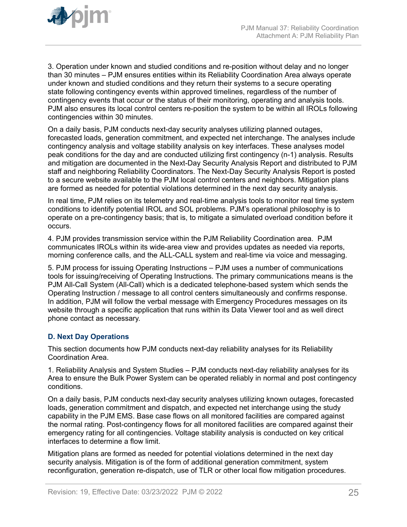<span id="page-24-0"></span>

3. Operation under known and studied conditions and re-position without delay and no longer than 30 minutes – PJM ensures entities within its Reliability Coordination Area always operate under known and studied conditions and they return their systems to a secure operating state following contingency events within approved timelines, regardless of the number of contingency events that occur or the status of their monitoring, operating and analysis tools. PJM also ensures its local control centers re-position the system to be within all IROLs following contingencies within 30 minutes.

On a daily basis, PJM conducts next-day security analyses utilizing planned outages, forecasted loads, generation commitment, and expected net interchange. The analyses include contingency analysis and voltage stability analysis on key interfaces. These analyses model peak conditions for the day and are conducted utilizing first contingency (n-1) analysis. Results and mitigation are documented in the Next-Day Security Analysis Report and distributed to PJM staff and neighboring Reliability Coordinators. The Next-Day Security Analysis Report is posted to a secure website available to the PJM local control centers and neighbors. Mitigation plans are formed as needed for potential violations determined in the next day security analysis.

In real time, PJM relies on its telemetry and real-time analysis tools to monitor real time system conditions to identify potential IROL and SOL problems. PJM's operational philosophy is to operate on a pre-contingency basis; that is, to mitigate a simulated overload condition before it occurs.

4. PJM provides transmission service within the PJM Reliability Coordination area. PJM communicates IROLs within its wide-area view and provides updates as needed via reports, morning conference calls, and the ALL-CALL system and real-time via voice and messaging.

5. PJM process for issuing Operating Instructions – PJM uses a number of communications tools for issuing/receiving of Operating Instructions. The primary communications means is the PJM All-Call System (All-Call) which is a dedicated telephone-based system which sends the Operating Instruction / message to all control centers simultaneously and confirms response. In addition, PJM will follow the verbal message with Emergency Procedures messages on its website through a specific application that runs within its Data Viewer tool and as well direct phone contact as necessary.

#### **D. Next Day Operations**

This section documents how PJM conducts next-day reliability analyses for its Reliability Coordination Area.

1. Reliability Analysis and System Studies – PJM conducts next-day reliability analyses for its Area to ensure the Bulk Power System can be operated reliably in normal and post contingency conditions.

On a daily basis, PJM conducts next-day security analyses utilizing known outages, forecasted loads, generation commitment and dispatch, and expected net interchange using the study capability in the PJM EMS. Base case flows on all monitored facilities are compared against the normal rating. Post-contingency flows for all monitored facilities are compared against their emergency rating for all contingencies. Voltage stability analysis is conducted on key critical interfaces to determine a flow limit.

Mitigation plans are formed as needed for potential violations determined in the next day security analysis. Mitigation is of the form of additional generation commitment, system reconfiguration, generation re-dispatch, use of TLR or other local flow mitigation procedures.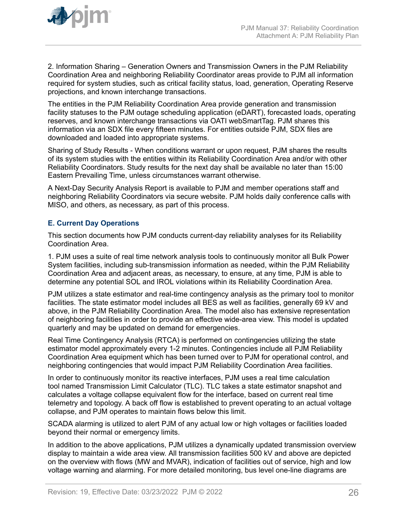<span id="page-25-0"></span>2. Information Sharing – Generation Owners and Transmission Owners in the PJM Reliability Coordination Area and neighboring Reliability Coordinator areas provide to PJM all information required for system studies, such as critical facility status, load, generation, Operating Reserve projections, and known interchange transactions.

The entities in the PJM Reliability Coordination Area provide generation and transmission facility statuses to the PJM outage scheduling application (eDART), forecasted loads, operating reserves, and known interchange transactions via OATI webSmartTag. PJM shares this information via an SDX file every fifteen minutes. For entities outside PJM, SDX files are downloaded and loaded into appropriate systems.

Sharing of Study Results - When conditions warrant or upon request, PJM shares the results of its system studies with the entities within its Reliability Coordination Area and/or with other Reliability Coordinators. Study results for the next day shall be available no later than 15:00 Eastern Prevailing Time, unless circumstances warrant otherwise.

A Next-Day Security Analysis Report is available to PJM and member operations staff and neighboring Reliability Coordinators via secure website. PJM holds daily conference calls with MISO, and others, as necessary, as part of this process.

#### **E. Current Day Operations**

This section documents how PJM conducts current-day reliability analyses for its Reliability Coordination Area.

1. PJM uses a suite of real time network analysis tools to continuously monitor all Bulk Power System facilities, including sub-transmission information as needed, within the PJM Reliability Coordination Area and adjacent areas, as necessary, to ensure, at any time, PJM is able to determine any potential SOL and IROL violations within its Reliability Coordination Area.

PJM utilizes a state estimator and real-time contingency analysis as the primary tool to monitor facilities. The state estimator model includes all BES as well as facilities, generally 69 kV and above, in the PJM Reliability Coordination Area. The model also has extensive representation of neighboring facilities in order to provide an effective wide-area view. This model is updated quarterly and may be updated on demand for emergencies.

Real Time Contingency Analysis (RTCA) is performed on contingencies utilizing the state estimator model approximately every 1-2 minutes. Contingencies include all PJM Reliability Coordination Area equipment which has been turned over to PJM for operational control, and neighboring contingencies that would impact PJM Reliability Coordination Area facilities.

In order to continuously monitor its reactive interfaces, PJM uses a real time calculation tool named Transmission Limit Calculator (TLC). TLC takes a state estimator snapshot and calculates a voltage collapse equivalent flow for the interface, based on current real time telemetry and topology. A back off flow is established to prevent operating to an actual voltage collapse, and PJM operates to maintain flows below this limit.

SCADA alarming is utilized to alert PJM of any actual low or high voltages or facilities loaded beyond their normal or emergency limits.

In addition to the above applications, PJM utilizes a dynamically updated transmission overview display to maintain a wide area view. All transmission facilities 500 kV and above are depicted on the overview with flows (MW and MVAR), indication of facilities out of service, high and low voltage warning and alarming. For more detailed monitoring, bus level one-line diagrams are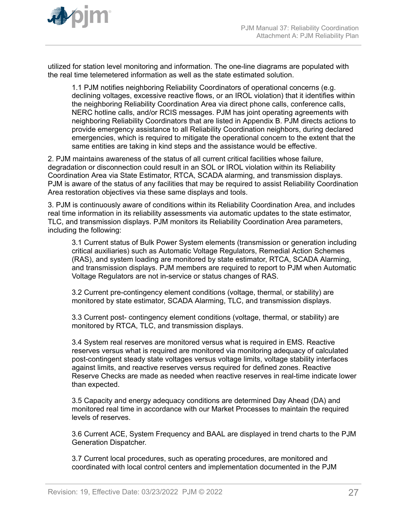

utilized for station level monitoring and information. The one-line diagrams are populated with the real time telemetered information as well as the state estimated solution.

1.1 PJM notifies neighboring Reliability Coordinators of operational concerns (e.g. declining voltages, excessive reactive flows, or an IROL violation) that it identifies within the neighboring Reliability Coordination Area via direct phone calls, conference calls, NERC hotline calls, and/or RCIS messages. PJM has joint operating agreements with neighboring Reliability Coordinators that are listed in Appendix B. PJM directs actions to provide emergency assistance to all Reliability Coordination neighbors, during declared emergencies, which is required to mitigate the operational concern to the extent that the same entities are taking in kind steps and the assistance would be effective.

2. PJM maintains awareness of the status of all current critical facilities whose failure, degradation or disconnection could result in an SOL or IROL violation within its Reliability Coordination Area via State Estimator, RTCA, SCADA alarming, and transmission displays. PJM is aware of the status of any facilities that may be required to assist Reliability Coordination Area restoration objectives via these same displays and tools.

3. PJM is continuously aware of conditions within its Reliability Coordination Area, and includes real time information in its reliability assessments via automatic updates to the state estimator, TLC, and transmission displays. PJM monitors its Reliability Coordination Area parameters, including the following:

3.1 Current status of Bulk Power System elements (transmission or generation including critical auxiliaries) such as Automatic Voltage Regulators, Remedial Action Schemes (RAS), and system loading are monitored by state estimator, RTCA, SCADA Alarming, and transmission displays. PJM members are required to report to PJM when Automatic Voltage Regulators are not in-service or status changes of RAS.

3.2 Current pre-contingency element conditions (voltage, thermal, or stability) are monitored by state estimator, SCADA Alarming, TLC, and transmission displays.

3.3 Current post- contingency element conditions (voltage, thermal, or stability) are monitored by RTCA, TLC, and transmission displays.

3.4 System real reserves are monitored versus what is required in EMS. Reactive reserves versus what is required are monitored via monitoring adequacy of calculated post-contingent steady state voltages versus voltage limits, voltage stability interfaces against limits, and reactive reserves versus required for defined zones. Reactive Reserve Checks are made as needed when reactive reserves in real-time indicate lower than expected.

3.5 Capacity and energy adequacy conditions are determined Day Ahead (DA) and monitored real time in accordance with our Market Processes to maintain the required levels of reserves.

3.6 Current ACE, System Frequency and BAAL are displayed in trend charts to the PJM Generation Dispatcher.

3.7 Current local procedures, such as operating procedures, are monitored and coordinated with local control centers and implementation documented in the PJM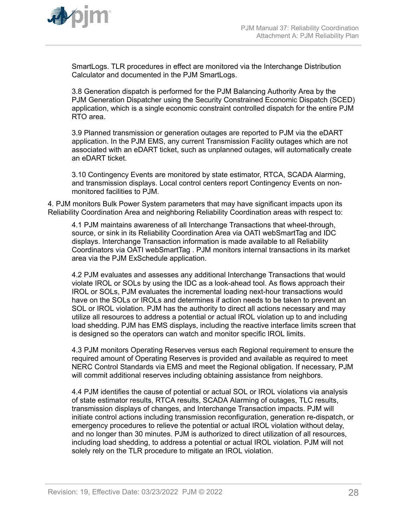

SmartLogs. TLR procedures in effect are monitored via the Interchange Distribution Calculator and documented in the PJM SmartLogs.

3.8 Generation dispatch is performed for the PJM Balancing Authority Area by the PJM Generation Dispatcher using the Security Constrained Economic Dispatch (SCED) application, which is a single economic constraint controlled dispatch for the entire PJM RTO area.

3.9 Planned transmission or generation outages are reported to PJM via the eDART application. In the PJM EMS, any current Transmission Facility outages which are not associated with an eDART ticket, such as unplanned outages, will automatically create an eDART ticket.

3.10 Contingency Events are monitored by state estimator, RTCA, SCADA Alarming, and transmission displays. Local control centers report Contingency Events on nonmonitored facilities to PJM.

4. PJM monitors Bulk Power System parameters that may have significant impacts upon its Reliability Coordination Area and neighboring Reliability Coordination areas with respect to:

4.1 PJM maintains awareness of all Interchange Transactions that wheel-through, source, or sink in its Reliability Coordination Area via OATI webSmartTag and IDC displays. Interchange Transaction information is made available to all Reliability Coordinators via OATI webSmartTag . PJM monitors internal transactions in its market area via the PJM ExSchedule application.

4.2 PJM evaluates and assesses any additional Interchange Transactions that would violate IROL or SOLs by using the IDC as a look-ahead tool. As flows approach their IROL or SOLs, PJM evaluates the incremental loading next-hour transactions would have on the SOLs or IROLs and determines if action needs to be taken to prevent an SOL or IROL violation. PJM has the authority to direct all actions necessary and may utilize all resources to address a potential or actual IROL violation up to and including load shedding. PJM has EMS displays, including the reactive interface limits screen that is designed so the operators can watch and monitor specific IROL limits.

4.3 PJM monitors Operating Reserves versus each Regional requirement to ensure the required amount of Operating Reserves is provided and available as required to meet NERC Control Standards via EMS and meet the Regional obligation. If necessary, PJM will commit additional reserves including obtaining assistance from neighbors.

4.4 PJM identifies the cause of potential or actual SOL or IROL violations via analysis of state estimator results, RTCA results, SCADA Alarming of outages, TLC results, transmission displays of changes, and Interchange Transaction impacts. PJM will initiate control actions including transmission reconfiguration, generation re-dispatch, or emergency procedures to relieve the potential or actual IROL violation without delay, and no longer than 30 minutes. PJM is authorized to direct utilization of all resources, including load shedding, to address a potential or actual IROL violation. PJM will not solely rely on the TLR procedure to mitigate an IROL violation.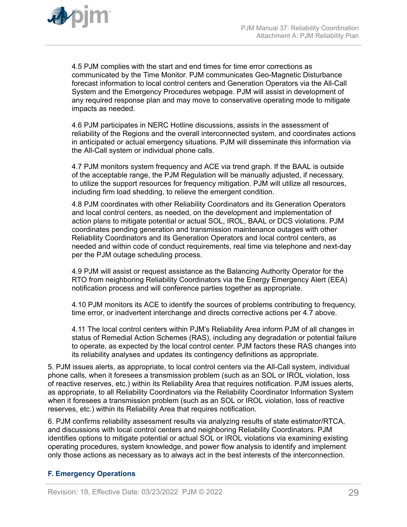<span id="page-28-0"></span>

4.5 PJM complies with the start and end times for time error corrections as communicated by the Time Monitor. PJM communicates Geo-Magnetic Disturbance forecast information to local control centers and Generation Operators via the All-Call System and the Emergency Procedures webpage. PJM will assist in development of any required response plan and may move to conservative operating mode to mitigate impacts as needed.

4.6 PJM participates in NERC Hotline discussions, assists in the assessment of reliability of the Regions and the overall interconnected system, and coordinates actions in anticipated or actual emergency situations. PJM will disseminate this information via the All-Call system or individual phone calls.

4.7 PJM monitors system frequency and ACE via trend graph. If the BAAL is outside of the acceptable range, the PJM Regulation will be manually adjusted, if necessary, to utilize the support resources for frequency mitigation. PJM will utilize all resources, including firm load shedding, to relieve the emergent condition.

4.8 PJM coordinates with other Reliability Coordinators and its Generation Operators and local control centers, as needed, on the development and implementation of action plans to mitigate potential or actual SOL, IROL, BAAL or DCS violations. PJM coordinates pending generation and transmission maintenance outages with other Reliability Coordinators and its Generation Operators and local control centers, as needed and within code of conduct requirements, real time via telephone and next-day per the PJM outage scheduling process.

4.9 PJM will assist or request assistance as the Balancing Authority Operator for the RTO from neighboring Reliability Coordinators via the Energy Emergency Alert (EEA) notification process and will conference parties together as appropriate.

4.10 PJM monitors its ACE to identify the sources of problems contributing to frequency, time error, or inadvertent interchange and directs corrective actions per 4.7 above.

4.11 The local control centers within PJM's Reliability Area inform PJM of all changes in status of Remedial Action Schemes (RAS), including any degradation or potential failure to operate, as expected by the local control center. PJM factors these RAS changes into its reliability analyses and updates its contingency definitions as appropriate.

5. PJM issues alerts, as appropriate, to local control centers via the All-Call system, individual phone calls, when it foresees a transmission problem (such as an SOL or IROL violation, loss of reactive reserves, etc.) within its Reliability Area that requires notification. PJM issues alerts, as appropriate, to all Reliability Coordinators via the Reliability Coordinator Information System when it foresees a transmission problem (such as an SOL or IROL violation, loss of reactive reserves, etc.) within its Reliability Area that requires notification.

6. PJM confirms reliability assessment results via analyzing results of state estimator/RTCA, and discussions with local control centers and neighboring Reliability Coordinators. PJM identifies options to mitigate potential or actual SOL or IROL violations via examining existing operating procedures, system knowledge, and power flow analysis to identify and implement only those actions as necessary as to always act in the best interests of the interconnection.

#### **F. Emergency Operations**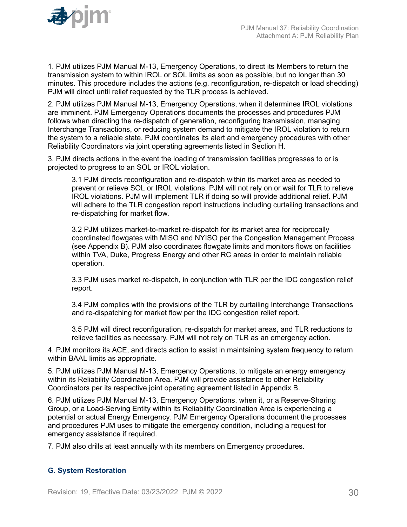<span id="page-29-0"></span>

1. PJM utilizes PJM Manual M-13, Emergency Operations, to direct its Members to return the transmission system to within IROL or SOL limits as soon as possible, but no longer than 30 minutes. This procedure includes the actions (e.g. reconfiguration, re-dispatch or load shedding) PJM will direct until relief requested by the TLR process is achieved.

2. PJM utilizes PJM Manual M-13, Emergency Operations, when it determines IROL violations are imminent. PJM Emergency Operations documents the processes and procedures PJM follows when directing the re-dispatch of generation, reconfiguring transmission, managing Interchange Transactions, or reducing system demand to mitigate the IROL violation to return the system to a reliable state. PJM coordinates its alert and emergency procedures with other Reliability Coordinators via joint operating agreements listed in Section H.

3. PJM directs actions in the event the loading of transmission facilities progresses to or is projected to progress to an SOL or IROL violation.

3.1 PJM directs reconfiguration and re-dispatch within its market area as needed to prevent or relieve SOL or IROL violations. PJM will not rely on or wait for TLR to relieve IROL violations. PJM will implement TLR if doing so will provide additional relief. PJM will adhere to the TLR congestion report instructions including curtailing transactions and re-dispatching for market flow.

3.2 PJM utilizes market-to-market re-dispatch for its market area for reciprocally coordinated flowgates with MISO and NYISO per the Congestion Management Process (see Appendix B). PJM also coordinates flowgate limits and monitors flows on facilities within TVA, Duke, Progress Energy and other RC areas in order to maintain reliable operation.

3.3 PJM uses market re-dispatch, in conjunction with TLR per the IDC congestion relief report.

3.4 PJM complies with the provisions of the TLR by curtailing Interchange Transactions and re-dispatching for market flow per the IDC congestion relief report.

3.5 PJM will direct reconfiguration, re-dispatch for market areas, and TLR reductions to relieve facilities as necessary. PJM will not rely on TLR as an emergency action.

4. PJM monitors its ACE, and directs action to assist in maintaining system frequency to return within BAAL limits as appropriate.

5. PJM utilizes PJM Manual M-13, Emergency Operations, to mitigate an energy emergency within its Reliability Coordination Area. PJM will provide assistance to other Reliability Coordinators per its respective joint operating agreement listed in Appendix B.

6. PJM utilizes PJM Manual M-13, Emergency Operations, when it, or a Reserve-Sharing Group, or a Load-Serving Entity within its Reliability Coordination Area is experiencing a potential or actual Energy Emergency. PJM Emergency Operations document the processes and procedures PJM uses to mitigate the emergency condition, including a request for emergency assistance if required.

7. PJM also drills at least annually with its members on Emergency procedures.

#### **G. System Restoration**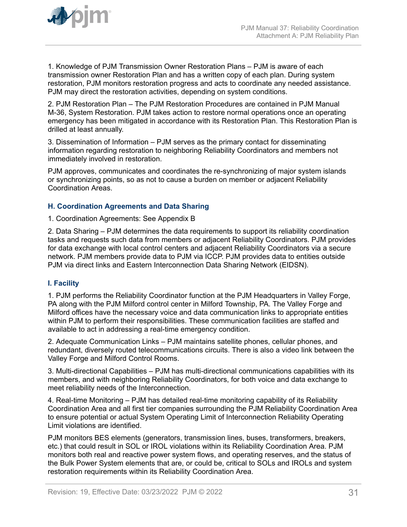<span id="page-30-0"></span>

1. Knowledge of PJM Transmission Owner Restoration Plans – PJM is aware of each transmission owner Restoration Plan and has a written copy of each plan. During system restoration, PJM monitors restoration progress and acts to coordinate any needed assistance. PJM may direct the restoration activities, depending on system conditions.

2. PJM Restoration Plan – The PJM Restoration Procedures are contained in PJM Manual M-36, System Restoration. PJM takes action to restore normal operations once an operating emergency has been mitigated in accordance with its Restoration Plan. This Restoration Plan is drilled at least annually.

3. Dissemination of Information – PJM serves as the primary contact for disseminating information regarding restoration to neighboring Reliability Coordinators and members not immediately involved in restoration.

PJM approves, communicates and coordinates the re-synchronizing of major system islands or synchronizing points, so as not to cause a burden on member or adjacent Reliability Coordination Areas.

#### **H. Coordination Agreements and Data Sharing**

#### 1. Coordination Agreements: See Appendix B

2. Data Sharing – PJM determines the data requirements to support its reliability coordination tasks and requests such data from members or adjacent Reliability Coordinators. PJM provides for data exchange with local control centers and adjacent Reliability Coordinators via a secure network. PJM members provide data to PJM via ICCP. PJM provides data to entities outside PJM via direct links and Eastern Interconnection Data Sharing Network (EIDSN).

#### **I. Facility**

1. PJM performs the Reliability Coordinator function at the PJM Headquarters in Valley Forge, PA along with the PJM Milford control center in Milford Township, PA. The Valley Forge and Milford offices have the necessary voice and data communication links to appropriate entities within PJM to perform their responsibilities. These communication facilities are staffed and available to act in addressing a real-time emergency condition.

2. Adequate Communication Links – PJM maintains satellite phones, cellular phones, and redundant, diversely routed telecommunications circuits. There is also a video link between the Valley Forge and Milford Control Rooms.

3. Multi-directional Capabilities – PJM has multi-directional communications capabilities with its members, and with neighboring Reliability Coordinators, for both voice and data exchange to meet reliability needs of the Interconnection.

4. Real-time Monitoring – PJM has detailed real-time monitoring capability of its Reliability Coordination Area and all first tier companies surrounding the PJM Reliability Coordination Area to ensure potential or actual System Operating Limit of Interconnection Reliability Operating Limit violations are identified.

PJM monitors BES elements (generators, transmission lines, buses, transformers, breakers, etc.) that could result in SOL or IROL violations within its Reliability Coordination Area. PJM monitors both real and reactive power system flows, and operating reserves, and the status of the Bulk Power System elements that are, or could be, critical to SOLs and IROLs and system restoration requirements within its Reliability Coordination Area.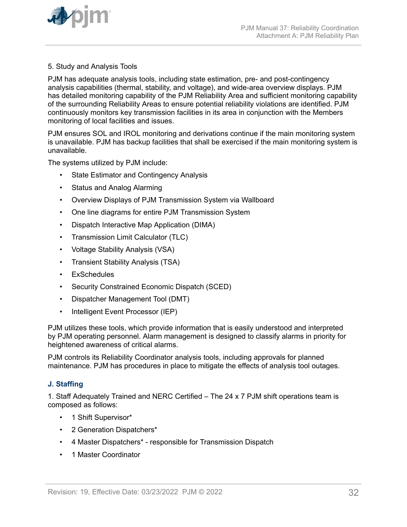<span id="page-31-0"></span>

#### 5. Study and Analysis Tools

PJM has adequate analysis tools, including state estimation, pre- and post-contingency analysis capabilities (thermal, stability, and voltage), and wide-area overview displays. PJM has detailed monitoring capability of the PJM Reliability Area and sufficient monitoring capability of the surrounding Reliability Areas to ensure potential reliability violations are identified. PJM continuously monitors key transmission facilities in its area in conjunction with the Members monitoring of local facilities and issues.

PJM ensures SOL and IROL monitoring and derivations continue if the main monitoring system is unavailable. PJM has backup facilities that shall be exercised if the main monitoring system is unavailable.

The systems utilized by PJM include:

- State Estimator and Contingency Analysis
- Status and Analog Alarming
- Overview Displays of PJM Transmission System via Wallboard
- One line diagrams for entire PJM Transmission System
- Dispatch Interactive Map Application (DIMA)
- Transmission Limit Calculator (TLC)
- Voltage Stability Analysis (VSA)
- Transient Stability Analysis (TSA)
- ExSchedules
- Security Constrained Economic Dispatch (SCED)
- Dispatcher Management Tool (DMT)
- Intelligent Event Processor (IEP)

PJM utilizes these tools, which provide information that is easily understood and interpreted by PJM operating personnel. Alarm management is designed to classify alarms in priority for heightened awareness of critical alarms.

PJM controls its Reliability Coordinator analysis tools, including approvals for planned maintenance. PJM has procedures in place to mitigate the effects of analysis tool outages.

#### **J. Staffing**

1. Staff Adequately Trained and NERC Certified – The 24 x 7 PJM shift operations team is composed as follows:

- 1 Shift Supervisor\*
- 2 Generation Dispatchers\*
- 4 Master Dispatchers\* responsible for Transmission Dispatch
- 1 Master Coordinator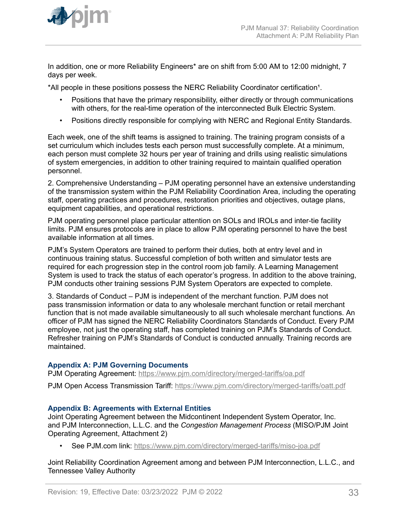<span id="page-32-0"></span>

In addition, one or more Reliability Engineers\* are on shift from 5:00 AM to 12:00 midnight, 7 days per week.

\*All people in these positions possess the NERC Reliability Coordinator certification<sup>1</sup>.

- Positions that have the primary responsibility, either directly or through communications with others, for the real-time operation of the interconnected Bulk Electric System.
- Positions directly responsible for complying with NERC and Regional Entity Standards.

Each week, one of the shift teams is assigned to training. The training program consists of a set curriculum which includes tests each person must successfully complete. At a minimum, each person must complete 32 hours per year of training and drills using realistic simulations of system emergencies, in addition to other training required to maintain qualified operation personnel.

2. Comprehensive Understanding – PJM operating personnel have an extensive understanding of the transmission system within the PJM Reliability Coordination Area, including the operating staff, operating practices and procedures, restoration priorities and objectives, outage plans, equipment capabilities, and operational restrictions.

PJM operating personnel place particular attention on SOLs and IROLs and inter-tie facility limits. PJM ensures protocols are in place to allow PJM operating personnel to have the best available information at all times.

PJM's System Operators are trained to perform their duties, both at entry level and in continuous training status. Successful completion of both written and simulator tests are required for each progression step in the control room job family. A Learning Management System is used to track the status of each operator's progress. In addition to the above training, PJM conducts other training sessions PJM System Operators are expected to complete.

3. Standards of Conduct – PJM is independent of the merchant function. PJM does not pass transmission information or data to any wholesale merchant function or retail merchant function that is not made available simultaneously to all such wholesale merchant functions. An officer of PJM has signed the NERC Reliability Coordinators Standards of Conduct. Every PJM employee, not just the operating staff, has completed training on PJM's Standards of Conduct. Refresher training on PJM's Standards of Conduct is conducted annually. Training records are maintained.

#### **Appendix A: PJM Governing Documents**

PJM Operating Agreement:<https://www.pjm.com/directory/merged-tariffs/oa.pdf>

PJM Open Access Transmission Tariff:<https://www.pjm.com/directory/merged-tariffs/oatt.pdf>

#### **Appendix B: Agreements with External Entities**

Joint Operating Agreement between the Midcontinent Independent System Operator, Inc. and PJM Interconnection, L.L.C. and the *Congestion Management Process* (MISO/PJM Joint Operating Agreement, Attachment 2)

• See PJM.com link: <https://www.pjm.com/directory/merged-tariffs/miso-joa.pdf>

Joint Reliability Coordination Agreement among and between PJM Interconnection, L.L.C., and Tennessee Valley Authority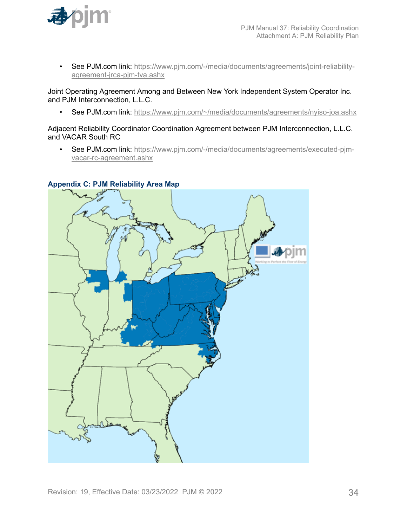<span id="page-33-0"></span>

• See PJM.com link: [https://www.pjm.com/-/media/documents/agreements/joint-reliability](https://www.pjm.com/-/media/documents/agreements/joint-reliability-agreement-jrca-pjm-tva.ashx)[agreement-jrca-pjm-tva.ashx](https://www.pjm.com/-/media/documents/agreements/joint-reliability-agreement-jrca-pjm-tva.ashx)

Joint Operating Agreement Among and Between New York Independent System Operator Inc. and PJM Interconnection, L.L.C.

• See PJM.com link: <https://www.pjm.com/~/media/documents/agreements/nyiso-joa.ashx>

Adjacent Reliability Coordinator Coordination Agreement between PJM Interconnection, L.L.C. and VACAR South RC

• See PJM.com link: [https://www.pjm.com/-/media/documents/agreements/executed-pjm](https://www.pjm.com/-/media/documents/agreements/executed-pjm-vacar-rc-agreement.ashx)[vacar-rc-agreement.ashx](https://www.pjm.com/-/media/documents/agreements/executed-pjm-vacar-rc-agreement.ashx)

#### **Appendix C: PJM Reliability Area Map**

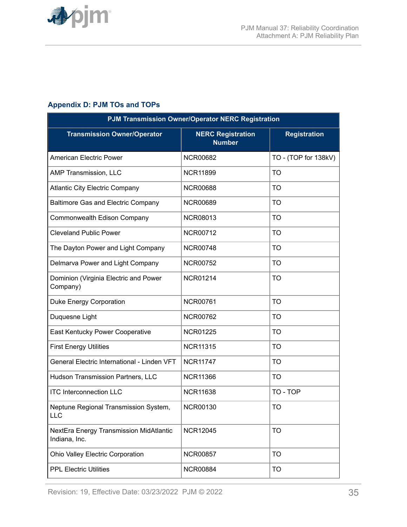<span id="page-34-0"></span>

### **Appendix D: PJM TOs and TOPs**

| <b>PJM Transmission Owner/Operator NERC Registration</b> |                                           |                      |  |  |
|----------------------------------------------------------|-------------------------------------------|----------------------|--|--|
| <b>Transmission Owner/Operator</b>                       | <b>NERC Registration</b><br><b>Number</b> | <b>Registration</b>  |  |  |
| <b>American Electric Power</b>                           | <b>NCR00682</b>                           | TO - (TOP for 138kV) |  |  |
| AMP Transmission, LLC                                    | <b>NCR11899</b>                           | <b>TO</b>            |  |  |
| <b>Atlantic City Electric Company</b>                    | <b>NCR00688</b>                           | <b>TO</b>            |  |  |
| Baltimore Gas and Electric Company                       | <b>NCR00689</b>                           | <b>TO</b>            |  |  |
| Commonwealth Edison Company                              | <b>NCR08013</b>                           | <b>TO</b>            |  |  |
| <b>Cleveland Public Power</b>                            | <b>NCR00712</b>                           | <b>TO</b>            |  |  |
| The Dayton Power and Light Company                       | <b>NCR00748</b>                           | <b>TO</b>            |  |  |
| Delmarva Power and Light Company                         | <b>NCR00752</b>                           | <b>TO</b>            |  |  |
| Dominion (Virginia Electric and Power<br>Company)        | <b>NCR01214</b>                           | <b>TO</b>            |  |  |
| Duke Energy Corporation                                  | <b>NCR00761</b>                           | <b>TO</b>            |  |  |
| Duquesne Light                                           | <b>NCR00762</b>                           | <b>TO</b>            |  |  |
| East Kentucky Power Cooperative                          | <b>NCR01225</b>                           | <b>TO</b>            |  |  |
| <b>First Energy Utilities</b>                            | <b>NCR11315</b>                           | <b>TO</b>            |  |  |
| General Electric International - Linden VFT              | <b>NCR11747</b>                           | <b>TO</b>            |  |  |
| Hudson Transmission Partners, LLC                        | <b>NCR11366</b>                           | <b>TO</b>            |  |  |
| <b>ITC Interconnection LLC</b>                           | <b>NCR11638</b>                           | TO - TOP             |  |  |
| Neptune Regional Transmission System,<br>LLC             | <b>NCR00130</b>                           | TO                   |  |  |
| NextEra Energy Transmission MidAtlantic<br>Indiana, Inc. | <b>NCR12045</b>                           | <b>TO</b>            |  |  |
| <b>Ohio Valley Electric Corporation</b>                  | <b>NCR00857</b>                           | <b>TO</b>            |  |  |
| <b>PPL Electric Utilities</b>                            | <b>NCR00884</b>                           | <b>TO</b>            |  |  |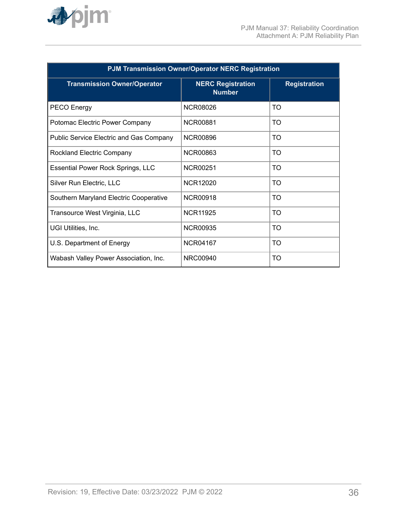

| <b>PJM Transmission Owner/Operator NERC Registration</b> |                                           |                     |  |  |
|----------------------------------------------------------|-------------------------------------------|---------------------|--|--|
| <b>Transmission Owner/Operator</b>                       | <b>NERC Registration</b><br><b>Number</b> | <b>Registration</b> |  |  |
| <b>PECO Energy</b>                                       | <b>NCR08026</b>                           | TO                  |  |  |
| Potomac Electric Power Company                           | <b>NCR00881</b>                           | TO                  |  |  |
| <b>Public Service Electric and Gas Company</b>           | NCR00896                                  | TΟ                  |  |  |
| Rockland Electric Company                                | NCR00863                                  | <b>TO</b>           |  |  |
| <b>Essential Power Rock Springs, LLC</b>                 | NCR00251                                  | <b>TO</b>           |  |  |
| Silver Run Electric, LLC                                 | NCR12020                                  | TΟ                  |  |  |
| Southern Maryland Electric Cooperative                   | <b>NCR00918</b>                           | <b>TO</b>           |  |  |
| Transource West Virginia, LLC                            | <b>NCR11925</b>                           | TO                  |  |  |
| UGI Utilities, Inc.                                      | <b>NCR00935</b>                           | <b>TO</b>           |  |  |
| U.S. Department of Energy                                | NCR04167                                  | TO                  |  |  |
| Wabash Valley Power Association, Inc.                    | NRC00940                                  | TΟ                  |  |  |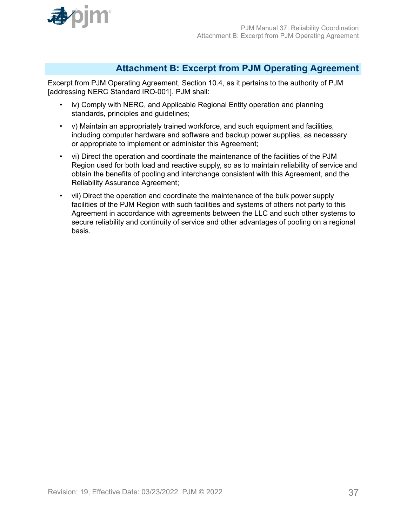<span id="page-36-0"></span>

# **Attachment B: Excerpt from PJM Operating Agreement**

Excerpt from PJM Operating Agreement, Section 10.4, as it pertains to the authority of PJM [addressing NERC Standard IRO-001]. PJM shall:

- iv) Comply with NERC, and Applicable Regional Entity operation and planning standards, principles and guidelines;
- v) Maintain an appropriately trained workforce, and such equipment and facilities, including computer hardware and software and backup power supplies, as necessary or appropriate to implement or administer this Agreement;
- vi) Direct the operation and coordinate the maintenance of the facilities of the PJM Region used for both load and reactive supply, so as to maintain reliability of service and obtain the benefits of pooling and interchange consistent with this Agreement, and the Reliability Assurance Agreement;
- vii) Direct the operation and coordinate the maintenance of the bulk power supply facilities of the PJM Region with such facilities and systems of others not party to this Agreement in accordance with agreements between the LLC and such other systems to secure reliability and continuity of service and other advantages of pooling on a regional basis.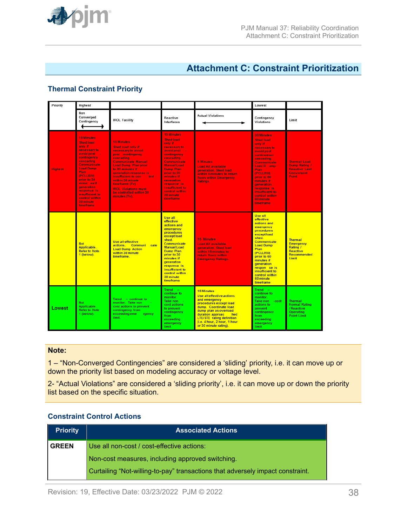<span id="page-37-0"></span>

# **Attachment C: Constraint Prioritization**

#### **Thermal Constraint Priority**

| Priority       | Highest                                                                                                                                                                                                                                                                                                    |                                                                                                                                                                                                                                                                                                                                                               |                                                                                                                                                                                                                                                                                                               |                                                                                                                                                                                                                                                                     | Lowest                                                                                                                                                                                                                                                                                         |                                                                                                   |
|----------------|------------------------------------------------------------------------------------------------------------------------------------------------------------------------------------------------------------------------------------------------------------------------------------------------------------|---------------------------------------------------------------------------------------------------------------------------------------------------------------------------------------------------------------------------------------------------------------------------------------------------------------------------------------------------------------|---------------------------------------------------------------------------------------------------------------------------------------------------------------------------------------------------------------------------------------------------------------------------------------------------------------|---------------------------------------------------------------------------------------------------------------------------------------------------------------------------------------------------------------------------------------------------------------------|------------------------------------------------------------------------------------------------------------------------------------------------------------------------------------------------------------------------------------------------------------------------------------------------|---------------------------------------------------------------------------------------------------|
|                | Non<br>Converged<br>Contingency                                                                                                                                                                                                                                                                            | <b>IROL Facility</b>                                                                                                                                                                                                                                                                                                                                          | Reactive<br>Interfaces                                                                                                                                                                                                                                                                                        | <b>Actual Violations</b>                                                                                                                                                                                                                                            | Contingency<br>Violations                                                                                                                                                                                                                                                                      | Limit                                                                                             |
| <b>Highest</b> | <b>15 Minutes</b><br><b>Shed load</b><br>only if<br>necessary to<br>avoid post<br>contingency<br>cascading.<br>Communicate<br><b>Load Dump</b><br><b>Plan</b><br>(PCLLRW)<br>prior to 30<br>minut es if<br><b>generation</b><br>response is<br>insufficient to<br>control within<br>30 minute<br>timeframe | <b>15 Minutes</b><br><b>Shed load only if</b><br>necessary to avoid<br>post -contingency<br>cascading.<br><b>Communicate Manual</b><br><b>Load Dump Plan prior</b><br>to 30 minutes if<br>generation response is<br>insufficient to con trol<br>within 30 minute<br>timeframe (Tv)<br><b>IROL Violations must</b><br>be controlled within 30<br>minutes (Tv). | <b>15 Minutes</b><br><b>Shed load</b><br>only if<br>necessary to<br>avoid post -<br>contingency<br>cascading.<br><b>Communicate</b><br><b>Manual Load</b><br><b>Dump Plan</b><br>prior to 30<br>minutes if<br><b>generation</b><br>response is<br>insufficient to<br>control within<br>30 minute<br>timeframe | <b>5 Minutes</b><br><b>Load All available</b><br>generation. Shed load<br>within 5 minutes to return<br>flows within Emergency<br>Ratings.                                                                                                                          | <b>30 Minutes</b><br><b>Shed load</b><br>only if<br>necessary to<br>avoid post -<br>contingency<br>cascading.<br>Communicate<br>Load D ump<br>Plan<br>(PCLLRW)<br>prior to 60<br>minutes if<br><b>generation</b><br>response is<br>insufficient to<br>control within<br>60 minute<br>timeframe | <b>Thermal Load</b><br>Dump Rating /<br><b>Reactive Last</b><br><b>Convergent</b><br><b>Point</b> |
|                | <b>Not</b><br>Applicable.<br><b>Refer to Note</b><br>1 (below).                                                                                                                                                                                                                                            | <b>Use all effective</b><br>actions. Communi cate<br><b>Load Dump Action</b><br>within 30 minute<br>timeframe.                                                                                                                                                                                                                                                | <b>Use all</b><br>effective<br>actions and<br>emergency<br>procedures<br>except load<br>shed.<br>Communicate<br><b>Manual Load</b><br>Dump Plan<br>prior to 30<br>minutes if<br><b>generation</b><br>response is<br>insufficient to<br>control within<br>30 minute<br>timeframe                               | <b>15 Minutes</b><br><b>Load All available</b><br>generation. Shed load<br>within 15 minutes to<br>return flows within<br><b>Emergency Ratings.</b>                                                                                                                 | <b>Use all</b><br>effective<br>actions and<br>emergency<br><b>procedures</b><br>except load<br>shed.<br><b>Communicate</b><br><b>Load Dump</b><br>Plan<br>(PCLLRW)<br>prior to 60<br>minutes if<br>qeneration<br>respon se is<br>insufficient to<br>control within<br>60 minute<br>timeframe   | <b>Thermal</b><br><b>Emergency</b><br>Rating /<br>Reactive<br>Recommended<br>Limit                |
| Lowest         | <b>Not</b><br>Applicable.<br><b>Refer to Note</b><br>1 (below).                                                                                                                                                                                                                                            | $Trend - continue to$<br>monitor. Take non<br>cost actions to prevent<br>contingency from<br>exceeding eme<br>rgency<br>limit.                                                                                                                                                                                                                                | $Trend -$<br>continue to<br>monitor.<br>Take non<br>cost actions<br>to prevent<br>contingency<br>from<br>exceeding<br>emergency<br>limit.                                                                                                                                                                     | <b>15 Minutes</b><br>Use all effective actions<br>and emergency<br>procedures except load<br>dump. Coordinate load<br>dump plan as overload<br>duration approac<br>hed<br><b>LTE/STE</b> rating definition<br>(i.e. 4 hour, 2 hour, 1 hour<br>or 30 minute rating). | $Trend -$<br>continue to<br>monitor.<br>Take non<br>-cost<br>actions to<br>prevent<br>contingency<br>from<br>exceeding<br>emergency<br>limit.                                                                                                                                                  | <b>Thermal</b><br>Normal Rating<br>/ Reactive<br><b>Operating</b><br><b>Point Limit</b>           |

#### **Note:**

1 – "Non-Converged Contingencies" are considered a 'sliding' priority, i.e. it can move up or down the priority list based on modeling accuracy or voltage level.

2- "Actual Violations" are considered a 'sliding priority', i.e. it can move up or down the priority list based on the specific situation.

#### **Constraint Control Actions**

| <b>Priority</b> | <b>Associated Actions</b>                                                      |  |
|-----------------|--------------------------------------------------------------------------------|--|
| <b>GREEN</b>    | Use all non-cost / cost-effective actions:                                     |  |
|                 | Non-cost measures, including approved switching.                               |  |
|                 | Curtailing "Not-willing-to-pay" transactions that adversely impact constraint. |  |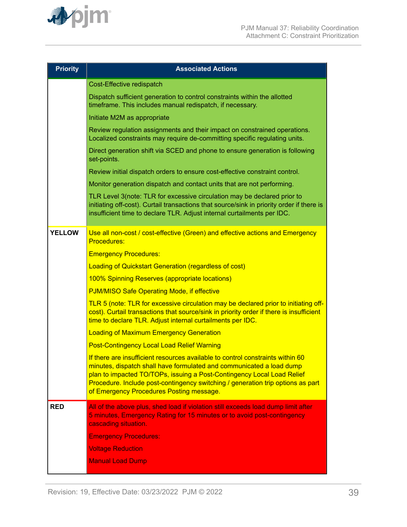

| <b>Priority</b> | <b>Associated Actions</b>                                                                                                                                                                                                                                                                                                                                       |  |  |  |
|-----------------|-----------------------------------------------------------------------------------------------------------------------------------------------------------------------------------------------------------------------------------------------------------------------------------------------------------------------------------------------------------------|--|--|--|
|                 | Cost-Effective redispatch                                                                                                                                                                                                                                                                                                                                       |  |  |  |
|                 | Dispatch sufficient generation to control constraints within the allotted<br>timeframe. This includes manual redispatch, if necessary.                                                                                                                                                                                                                          |  |  |  |
|                 | Initiate M2M as appropriate                                                                                                                                                                                                                                                                                                                                     |  |  |  |
|                 | Review regulation assignments and their impact on constrained operations.<br>Localized constraints may require de-committing specific regulating units.                                                                                                                                                                                                         |  |  |  |
|                 | Direct generation shift via SCED and phone to ensure generation is following<br>set-points.                                                                                                                                                                                                                                                                     |  |  |  |
|                 | Review initial dispatch orders to ensure cost-effective constraint control.                                                                                                                                                                                                                                                                                     |  |  |  |
|                 | Monitor generation dispatch and contact units that are not performing.                                                                                                                                                                                                                                                                                          |  |  |  |
|                 | TLR Level 3(note: TLR for excessive circulation may be declared prior to<br>initiating off-cost). Curtail transactions that source/sink in priority order if there is<br>insufficient time to declare TLR. Adjust internal curtailments per IDC.                                                                                                                |  |  |  |
| <b>YELLOW</b>   | Use all non-cost / cost-effective (Green) and effective actions and Emergency<br><b>Procedures:</b>                                                                                                                                                                                                                                                             |  |  |  |
|                 | <b>Emergency Procedures:</b>                                                                                                                                                                                                                                                                                                                                    |  |  |  |
|                 | <b>Loading of Quickstart Generation (regardless of cost)</b>                                                                                                                                                                                                                                                                                                    |  |  |  |
|                 | 100% Spinning Reserves (appropriate locations)                                                                                                                                                                                                                                                                                                                  |  |  |  |
|                 | <b>PJM/MISO Safe Operating Mode, if effective</b>                                                                                                                                                                                                                                                                                                               |  |  |  |
|                 | TLR 5 (note: TLR for excessive circulation may be declared prior to initiating off-<br>cost). Curtail transactions that source/sink in priority order if there is insufficient<br>time to declare TLR. Adjust internal curtailments per IDC.                                                                                                                    |  |  |  |
|                 | <b>Loading of Maximum Emergency Generation</b>                                                                                                                                                                                                                                                                                                                  |  |  |  |
|                 | <b>Post-Contingency Local Load Relief Warning</b>                                                                                                                                                                                                                                                                                                               |  |  |  |
|                 | If there are insufficient resources available to control constraints within 60<br>minutes, dispatch shall have formulated and communicated a load dump<br>plan to impacted TO/TOPs, issuing a Post-Contingency Local Load Relief<br>Procedure. Include post-contingency switching / generation trip options as part<br>of Emergency Procedures Posting message. |  |  |  |
| <b>RED</b>      | All of the above plus, shed load if violation still exceeds load dump limit after<br>5 minutes, Emergency Rating for 15 minutes or to avoid post-contingency<br>cascading situation.                                                                                                                                                                            |  |  |  |
|                 | <b>Emergency Procedures:</b>                                                                                                                                                                                                                                                                                                                                    |  |  |  |
|                 | <b>Voltage Reduction</b>                                                                                                                                                                                                                                                                                                                                        |  |  |  |
|                 | <b>Manual Load Dump</b>                                                                                                                                                                                                                                                                                                                                         |  |  |  |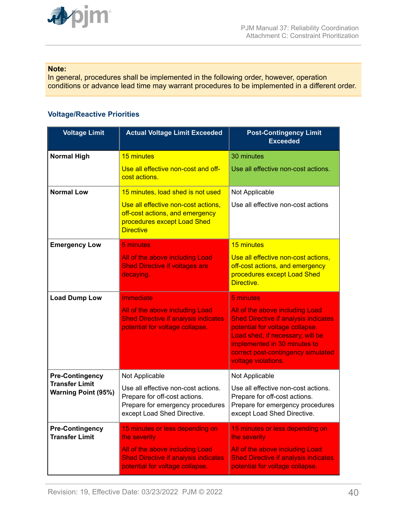

#### **Note:**

In general, procedures shall be implemented in the following order, however, operation conditions or advance lead time may warrant procedures to be implemented in a different order.

#### **Voltage/Reactive Priorities**

| <b>Voltage Limit</b>                                | <b>Actual Voltage Limit Exceeded</b>                                                                                                    | <b>Post-Contingency Limit</b><br><b>Exceeded</b>                                                                                                                                                                                                   |
|-----------------------------------------------------|-----------------------------------------------------------------------------------------------------------------------------------------|----------------------------------------------------------------------------------------------------------------------------------------------------------------------------------------------------------------------------------------------------|
| <b>Normal High</b>                                  | 15 minutes                                                                                                                              | 30 minutes                                                                                                                                                                                                                                         |
|                                                     | Use all effective non-cost and off-<br>cost actions.                                                                                    | Use all effective non-cost actions.                                                                                                                                                                                                                |
| <b>Normal Low</b>                                   | 15 minutes, load shed is not used                                                                                                       | Not Applicable                                                                                                                                                                                                                                     |
|                                                     | Use all effective non-cost actions,<br>off-cost actions, and emergency<br>procedures except Load Shed<br><b>Directive</b>               | Use all effective non-cost actions                                                                                                                                                                                                                 |
| <b>Emergency Low</b>                                | 5 minutes                                                                                                                               | 15 minutes                                                                                                                                                                                                                                         |
|                                                     | All of the above including Load<br><b>Shed Directive if voltages are</b><br>decaying.                                                   | Use all effective non-cost actions,<br>off-cost actions, and emergency<br>procedures except Load Shed<br>Directive.                                                                                                                                |
| <b>Load Dump Low</b>                                | Immediate                                                                                                                               | 5 minutes                                                                                                                                                                                                                                          |
|                                                     | All of the above including Load<br><b>Shed Directive if analysis indicates</b><br>potential for voltage collapse.                       | All of the above including Load<br><b>Shed Directive if analysis indicates</b><br>potential for voltage collapse.<br>Load shed, if necessary, will be<br>implemented in 30 minutes to<br>correct post-contingency simulated<br>voltage violations. |
| <b>Pre-Contingency</b>                              | Not Applicable                                                                                                                          | Not Applicable                                                                                                                                                                                                                                     |
| <b>Transfer Limit</b><br><b>Warning Point (95%)</b> | Use all effective non-cost actions.<br>Prepare for off-cost actions.<br>Prepare for emergency procedures<br>except Load Shed Directive. | Use all effective non-cost actions.<br>Prepare for off-cost actions.<br>Prepare for emergency procedures<br>except Load Shed Directive.                                                                                                            |
| <b>Pre-Contingency</b><br><b>Transfer Limit</b>     | 15 minutes or less depending on<br>the severity                                                                                         | 15 minutes or less depending on<br>the severity                                                                                                                                                                                                    |
|                                                     | All of the above including Load<br><b>Shed Directive if analysis indicates</b><br>potential for voltage collapse.                       | All of the above including Load<br><b>Shed Directive if analysis indicates</b><br>potential for voltage collapse.                                                                                                                                  |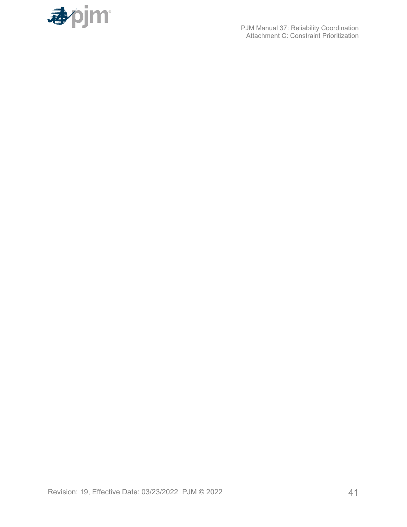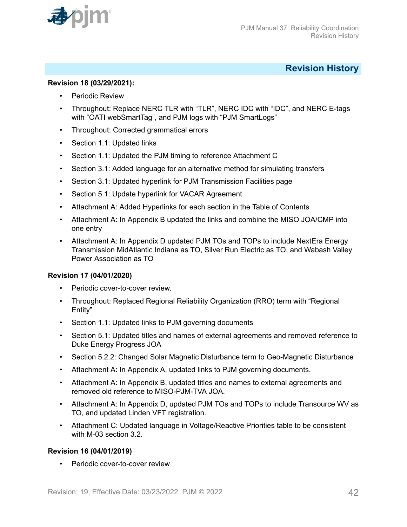<span id="page-41-0"></span>

### **Revision History**

#### **Revision 18 (03/29/2021):**

- Periodic Review
- Throughout: Replace NERC TLR with "TLR", NERC IDC with "IDC", and NERC E-tags with "OATI webSmartTag", and PJM logs with "PJM SmartLogs"
- Throughout: Corrected grammatical errors
- Section 1.1: Updated links
- Section 1.1: Updated the PJM timing to reference Attachment C
- Section 3.1: Added language for an alternative method for simulating transfers
- Section 3.1: Updated hyperlink for PJM Transmission Facilities page
- Section 5.1: Update hyperlink for VACAR Agreement
- Attachment A: Added Hyperlinks for each section in the Table of Contents
- Attachment A: In Appendix B updated the links and combine the MISO JOA/CMP into one entry
- Attachment A: In Appendix D updated PJM TOs and TOPs to include NextEra Energy Transmission MidAtlantic Indiana as TO, Silver Run Electric as TO, and Wabash Valley Power Association as TO

#### **Revision 17 (04/01/2020)**

- Periodic cover-to-cover review.
- Throughout: Replaced Regional Reliability Organization (RRO) term with "Regional Entity"
- Section 1.1: Updated links to PJM governing documents
- Section 5.1: Updated titles and names of external agreements and removed reference to Duke Energy Progress JOA
- Section 5.2.2: Changed Solar Magnetic Disturbance term to Geo-Magnetic Disturbance
- Attachment A: In Appendix A, updated links to PJM governing documents.
- Attachment A: In Appendix B, updated titles and names to external agreements and removed old reference to MISO-PJM-TVA JOA.
- Attachment A: In Appendix D, updated PJM TOs and TOPs to include Transource WV as TO, and updated Linden VFT registration.
- Attachment C: Updated language in Voltage/Reactive Priorities table to be consistent with M-03 section 3.2.

#### **Revision 16 (04/01/2019)**

• Periodic cover-to-cover review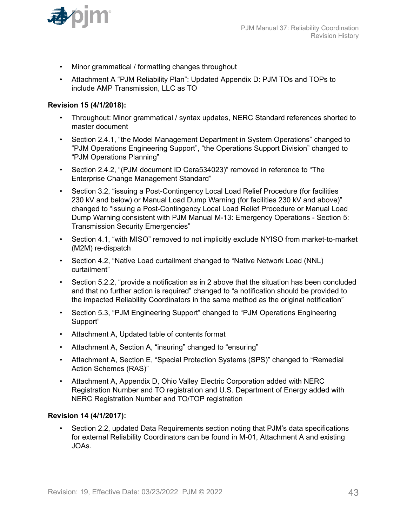

- Minor grammatical / formatting changes throughout
- Attachment A "PJM Reliability Plan": Updated Appendix D: PJM TOs and TOPs to include AMP Transmission, LLC as TO

#### **Revision 15 (4/1/2018):**

- Throughout: Minor grammatical / syntax updates, NERC Standard references shorted to master document
- Section 2.4.1, "the Model Management Department in System Operations" changed to "PJM Operations Engineering Support", "the Operations Support Division" changed to "PJM Operations Planning"
- Section 2.4.2, "(PJM document ID Cera534023)" removed in reference to "The Enterprise Change Management Standard"
- Section 3.2, "issuing a Post-Contingency Local Load Relief Procedure (for facilities 230 kV and below) or Manual Load Dump Warning (for facilities 230 kV and above)" changed to "issuing a Post-Contingency Local Load Relief Procedure or Manual Load Dump Warning consistent with PJM Manual M-13: Emergency Operations - Section 5: Transmission Security Emergencies"
- Section 4.1, "with MISO" removed to not implicitly exclude NYISO from market-to-market (M2M) re-dispatch
- Section 4.2, "Native Load curtailment changed to "Native Network Load (NNL) curtailment"
- Section 5.2.2, "provide a notification as in 2 above that the situation has been concluded and that no further action is required" changed to "a notification should be provided to the impacted Reliability Coordinators in the same method as the original notification"
- Section 5.3, "PJM Engineering Support" changed to "PJM Operations Engineering Support"
- Attachment A, Updated table of contents format
- Attachment A, Section A, "insuring" changed to "ensuring"
- Attachment A, Section E, "Special Protection Systems (SPS)" changed to "Remedial Action Schemes (RAS)"
- Attachment A, Appendix D, Ohio Valley Electric Corporation added with NERC Registration Number and TO registration and U.S. Department of Energy added with NERC Registration Number and TO/TOP registration

#### **Revision 14 (4/1/2017):**

• Section 2.2, updated Data Requirements section noting that PJM's data specifications for external Reliability Coordinators can be found in M-01, Attachment A and existing JOAs.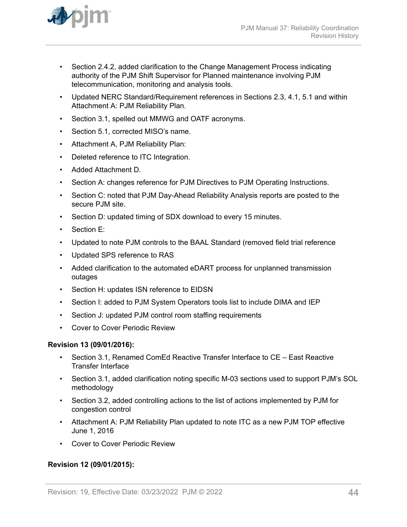

- Section 2.4.2, added clarification to the Change Management Process indicating authority of the PJM Shift Supervisor for Planned maintenance involving PJM telecommunication, monitoring and analysis tools.
- Updated NERC Standard/Requirement references in Sections 2.3, 4.1, 5.1 and within Attachment A: PJM Reliability Plan.
- Section 3.1, spelled out MMWG and OATF acronyms.
- Section 5.1, corrected MISO's name.
- Attachment A, PJM Reliability Plan:
- Deleted reference to ITC Integration.
- Added Attachment D.
- Section A: changes reference for PJM Directives to PJM Operating Instructions.
- Section C: noted that PJM Day-Ahead Reliability Analysis reports are posted to the secure PJM site.
- Section D: updated timing of SDX download to every 15 minutes.
- Section E:
- Updated to note PJM controls to the BAAL Standard (removed field trial reference
- Updated SPS reference to RAS
- Added clarification to the automated eDART process for unplanned transmission outages
- Section H: updates ISN reference to EIDSN
- Section I: added to PJM System Operators tools list to include DIMA and IEP
- Section J: updated PJM control room staffing requirements
- Cover to Cover Periodic Review

#### **Revision 13 (09/01/2016):**

- Section 3.1, Renamed ComEd Reactive Transfer Interface to CE East Reactive Transfer Interface
- Section 3.1, added clarification noting specific M-03 sections used to support PJM's SOL methodology
- Section 3.2, added controlling actions to the list of actions implemented by PJM for congestion control
- Attachment A: PJM Reliability Plan updated to note ITC as a new PJM TOP effective June 1, 2016
- Cover to Cover Periodic Review

#### **Revision 12 (09/01/2015):**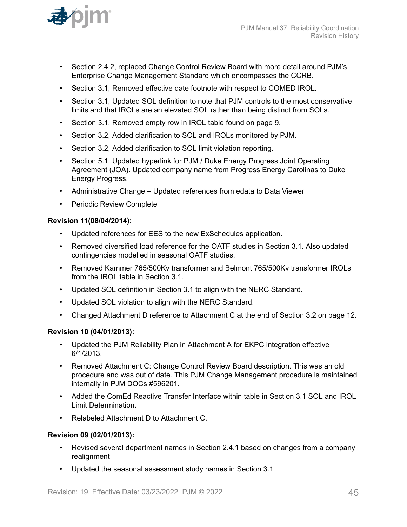

- Section 2.4.2, replaced Change Control Review Board with more detail around PJM's Enterprise Change Management Standard which encompasses the CCRB.
- Section 3.1, Removed effective date footnote with respect to COMED IROL.
- Section 3.1, Updated SOL definition to note that PJM controls to the most conservative limits and that IROLs are an elevated SOL rather than being distinct from SOLs.
- Section 3.1, Removed empty row in IROL table found on page 9.
- Section 3.2, Added clarification to SOL and IROLs monitored by PJM.
- Section 3.2, Added clarification to SOL limit violation reporting.
- Section 5.1, Updated hyperlink for PJM / Duke Energy Progress Joint Operating Agreement (JOA). Updated company name from Progress Energy Carolinas to Duke Energy Progress.
- Administrative Change Updated references from edata to Data Viewer
- Periodic Review Complete

#### **Revision 11(08/04/2014):**

- Updated references for EES to the new ExSchedules application.
- Removed diversified load reference for the OATF studies in Section 3.1. Also updated contingencies modelled in seasonal OATF studies.
- Removed Kammer 765/500Kv transformer and Belmont 765/500Kv transformer IROLs from the IROL table in Section 3.1.
- Updated SOL definition in Section 3.1 to align with the NERC Standard.
- Updated SOL violation to align with the NERC Standard.
- Changed Attachment D reference to Attachment C at the end of Section 3.2 on page 12.

#### **Revision 10 (04/01/2013):**

- Updated the PJM Reliability Plan in Attachment A for EKPC integration effective 6/1/2013.
- Removed Attachment C: Change Control Review Board description. This was an old procedure and was out of date. This PJM Change Management procedure is maintained internally in PJM DOCs #596201.
- Added the ComEd Reactive Transfer Interface within table in Section 3.1 SOL and IROL Limit Determination.
- Relabeled Attachment D to Attachment C.

#### **Revision 09 (02/01/2013):**

- Revised several department names in Section 2.4.1 based on changes from a company realignment
- Updated the seasonal assessment study names in Section 3.1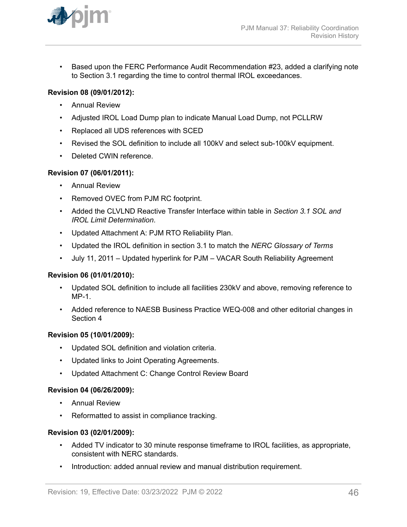

• Based upon the FERC Performance Audit Recommendation #23, added a clarifying note to Section 3.1 regarding the time to control thermal IROL exceedances.

#### **Revision 08 (09/01/2012):**

- Annual Review
- Adjusted IROL Load Dump plan to indicate Manual Load Dump, not PCLLRW
- Replaced all UDS references with SCED
- Revised the SOL definition to include all 100kV and select sub-100kV equipment.
- Deleted CWIN reference.

#### **Revision 07 (06/01/2011):**

- Annual Review
- Removed OVEC from PJM RC footprint.
- Added the CLVLND Reactive Transfer Interface within table in *Section 3.1 SOL and IROL Limit Determination*.
- Updated Attachment A: PJM RTO Reliability Plan.
- Updated the IROL definition in section 3.1 to match the *NERC Glossary of Terms*
- July 11, 2011 Updated hyperlink for PJM VACAR South Reliability Agreement

#### **Revision 06 (01/01/2010):**

- Updated SOL definition to include all facilities 230kV and above, removing reference to MP-1.
- Added reference to NAESB Business Practice WEQ-008 and other editorial changes in Section 4

#### **Revision 05 (10/01/2009):**

- Updated SOL definition and violation criteria.
- Updated links to Joint Operating Agreements.
- Updated Attachment C: Change Control Review Board

#### **Revision 04 (06/26/2009):**

- Annual Review
- Reformatted to assist in compliance tracking.

#### **Revision 03 (02/01/2009):**

- Added TV indicator to 30 minute response timeframe to IROL facilities, as appropriate, consistent with NERC standards.
- Introduction: added annual review and manual distribution requirement.